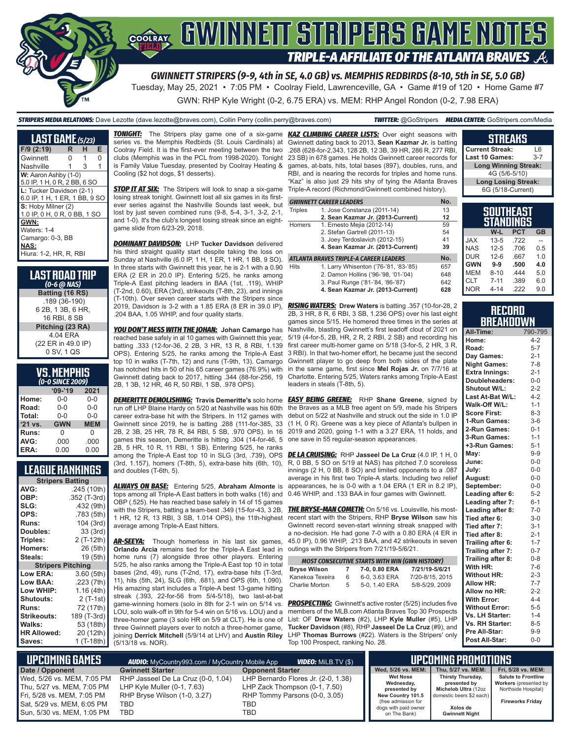

*GWINNETT STRIPERS (9-9, 4th in SE, 4.0 GB) vs. MEMPHIS REDBIRDS (8-10, 5th in SE, 5.0 GB)*

Tuesday, May 25, 2021 • 7:05 PM • Coolray Field, Lawrenceville, GA • Game #19 of 120 • Home Game #7

GWN: RHP Kyle Wright (0-2, 6.75 ERA) vs. MEM: RHP Angel Rondon (0-2, 7.98 ERA)

*STRIPERS MEDIA RELATIONS:* Dave Lezotte (dave.lezotte@braves.com), Collin Perry (collin.perry@braves.com) *TWITTER:* @GoStripers *MEDIA CENTER:* GoStripers.com/Media

| <b>LAST GAME</b> $(5/23)$     |   |    |   |
|-------------------------------|---|----|---|
| F/9 (2:19)                    | R | н  | Е |
| Gwinnett                      | O | 1  | O |
| Nashville                     | 1 | -3 | 1 |
| W: Aaron Ashby (1-0)          |   |    |   |
| 5.0 IP, 1 H, 0 R, 2 BB, 6 SO  |   |    |   |
| L: Tucker Davidson (2-1)      |   |    |   |
| 6.0 IP, 1 H, 1 ER, 1 BB, 9 SO |   |    |   |
| S: Hoby Milner (2)            |   |    |   |
| 1.0 IP, 0 H, 0 R, 0 BB, 1 SO  |   |    |   |
| GWN:                          |   |    |   |
| Waters: 1-4                   |   |    |   |
| Camargo: 0-3, BB              |   |    |   |
| NAS:                          |   |    |   |
| Hiura: 1-2. HR. R. RBI        |   |    |   |

| 'LAST ROAD TRIP<br>$(0-6 \omega$ NAS) |
|---------------------------------------|
| Batting (16 RS)                       |
| .189 (36-190)                         |
| 6 2B, 1 3B, 6 HR,                     |
| 16 RBI, 8 SB                          |
| Pitching (23 RA)                      |
| 4.04 ERA                              |
| (22 ER in 49.0 IP)                    |
| 0 SV, 1 QS                            |

| <b>VS. MEMPHIS</b>   |  |  |
|----------------------|--|--|
| $\alpha$ a currenaal |  |  |

|           | (0-0 SINCE 2009) |            |
|-----------|------------------|------------|
|           | $'09-'19$        | 2021       |
| Home:     | 0-0              | $0 - 0$    |
| Road:     | $0 - 0$          | $0 - 0$    |
| Total:    | $0 - 0$          | $0 - 0$    |
| $'21$ vs. | <b>GWN</b>       | <b>MEM</b> |
| Runs:     | O                | U          |
| AVG:      | .000             | .000       |
| ERA:      | 0.00             | 0.00       |

#### **LEAGUE RANKINGS**

| <b>Stripers Batting</b>  |              |
|--------------------------|--------------|
| AVG:                     | .245 (10th)  |
| OBP:                     | .352 (T-3rd) |
| SLG:                     | .432 (9th)   |
| OPS:                     | .783 (5th)   |
| <b>Runs:</b>             | 104 (3rd)    |
| <b>Doubles:</b>          | 33 (3rd)     |
| Triples:                 | 2 (T-12th)   |
| <b>Homers:</b>           | 26 (5th)     |
| Steals:                  | 19 (5th)     |
| <b>Stripers Pitching</b> |              |
| <b>Low ERA:</b>          | 3.60 (5th)   |
| Low BAA:                 | .223 (7th)   |
| Low WHIP:                | 1.16 (4th)   |
| Shutouts:                | 2 (T-1st)    |
| <b>Runs:</b>             | 72 (17th)    |
| <b>Strikeouts:</b>       | 189 (T-3rd)  |
| Walks:                   | 53 (18th)    |
| <b>HR Allowed:</b>       | 20 (12th)    |
| Saves:                   | 1 (T-18th)   |

*TONIGHT:* The Stripers play game one of a six-game *KAZ CLIMBING CAREER LISTS:* Over eight seasons with series vs. the Memphis Redbirds (St. Louis Cardinals) at Coolray Field. It is the first-ever meeting between the two clubs (Memphis was in the PCL from 1998-2020). Tonight is Family Value Tuesday, presented by Coolray Heating & Cooling (\$2 hot dogs, \$1 desserts).

**STOP IT AT SIX:** The Stripers will look to snap a six-game losing streak tonight. Gwinnett lost all six games in its firstever series against the Nashville Sounds last week, but lost by just seven combined runs (9-8, 5-4, 3-1, 3-2, 2-1, and 1-0). It's the club's longest losing streak since an eightgame slide from 6/23-29, 2018.

*DOMINANT DAVIDSON:* LHP **Tucker Davidson** delivered his third straight quality start despite taking the loss on Sunday at Nashville (6.0 IP, 1 H, 1 ER, 1 HR, 1 BB, 9 SO). In three starts with Gwinnett this year, he is 2-1 with a 0.90 ERA (2 ER in 20.0 IP). Entering 5/25, he ranks among Triple-A East pitching leaders in BAA (1st, .119), WHIP (T-2nd, 0.60), ERA (3rd), strikeouts (T-8th, 23), and innings (T-10th). Over seven career starts with the Stripers since 2019, Davidson is 3-2 with a 1.85 ERA (8 ER in 39.0 IP), .204 BAA, 1.05 WHIP, and four quality starts.

*YOU DON'T MESS WITH THE JOHAN:* **Johan Camargo** has reached base safely in al 10 games with Gwinnett this year, batting .333 (12-for-36, 2 2B, 3 HR, 13 R, 8 RBI, 1.139 OPS). Entering 5/25, he ranks among the Triple-A East top 10 in walks (T-7th, 12) and runs (T-9th, 13). Camargo has notched hits in 50 of his 65 career games (76.9%) with Gwinnett dating back to 2017, hitting .344 (88-for-256, 19 2B, 1 3B, 12 HR, 46 R, 50 RBI, 1 SB, .978 OPS).

*DEMERITTE DEMOLISHING:* **Travis Demeritte's** solo home run off LHP Blaine Hardy on 5/20 at Nashville was his 60th career extra-base hit with the Stripers. In 112 games with Gwinnett since 2019, he is batting .288 (111-for-385, 33 2B, 2 3B, 25 HR, 78 R, 84 RBI, 5 SB, .970 OPS). In 16 games this season, Demeritte is hitting .304 (14-for-46, 5 2B, 5 HR, 10 R, 11 RBI, 1 SB). Entering 5/25, he ranks among the Triple-A East top 10 in SLG (3rd, .739), OPS (3rd, 1.157), homers (T-8th, 5), extra-base hits (6th, 10), and doubles (T-6th, 5).

*ALWAYS ON BASE:* Entering 5/25, **Abraham Almonte** is tops among all Triple-A East batters in both walks (16) and OBP (.525). He has reached base safely in 14 of 15 games 1 HR, 12 R, 13 RBI, 3 SB, 1.014 OPS), the 11th-highest average among Triple-A East hitters.

**AR-SEEYA:** Though homerless in his last six games, **Orlando Arcia** remains tied for the Triple-A East lead in outings with the Stripers from 7/21/19-5/6/21. home runs (7) alongside three other players. Entering 5/25, he also ranks among the Triple-A East top 10 in total bases (2nd, 49), runs (T-2nd, 17), extra-base hits (T-3rd, 11), hits (5th, 24), SLG (6th, .681), and OPS (6th, 1.090). His amazing start includes a Triple-A best 13-game hitting streak (.393, 22-for-56 from 5/4-5/18), two last-at-bat game-winning homers (solo in 8th for 2-1 win on 5/14 vs. LOU, solo walk-off in 9th for 5-4 win on 5/16 vs. LOU) and a three-homer game (3 solo HR on 5/9 at CLT). He is one of three Gwinnett players ever to notch a three-homer game, **Tucker Davidson** (#8), RHP **Jasseel De La Cruz** (#9), and joining **Derrick Mitchell** (5/9/14 at LHV) and **Austin Riley** (5/13/18 vs. NOR).

Gwinnett dating back to 2013, **Sean Kazmar Jr.** is batting .268 (628-for-2,343, 128 2B, 12 3B, 39 HR, 286 R, 277 RBI, 23 SB) in 678 games. He holds Gwinnett career records for games, at-bats, hits, total bases (897), doubles, runs, and RBI, and is nearing the records for triples and home runs. "Kaz" is also just 29 hits shy of tying the Atlanta Braves Triple-A record (Richmond/Gwinnett combined history).

|                | <b>GWINNETT CAREER LEADERS</b>         | No. |
|----------------|----------------------------------------|-----|
| <b>Triples</b> | 1. Jose Constanza (2011-14)            | 13  |
|                | 2. Sean Kazmar Jr. (2013-Current)      | 12  |
| Homers         | 1. Ernesto Mejia (2012-14)             | 59  |
|                | 2. Stefan Gartrell (2011-13)           | 54  |
|                | 3. Joey Terdoslavich (2012-15)         | 41  |
|                | 4. Sean Kazmar Jr. (2013-Current)      | 39  |
|                | ATLANTA BRAVES TRIPLE-A CAREER LEADERS | No. |
| <b>Hits</b>    | 1. Larry Whisenton ('76-'81, '83-'85)  | 657 |
|                | 2. Damon Hollins ('96-'98, '01-'04)    | 648 |
|                | 3. Paul Runge ('81-'84, '86-'87)       | 642 |
|                | 4. Sean Kazmar Jr. (2013-Current)      | 628 |

*RISING WATERS:* **Drew Waters** is batting .357 (10-for-28, 2 2B, 3 HR, 8 R, 6 RBI, 3 SB, 1.236 OPS) over his last eight games since 5/15. He homered three times in the series at Nashville, blasting Gwinnett's first leadoff clout of 2021 on 5/19 (4-for-5, 2B, HR, 2 R, 2 RBI, 2 SB) and recording his first career multi-homer game on 5/18 (3-for-5, 2 HR, 3 R, 3 RBI). In that two-homer effort, he became just the second Gwinnett player to go deep from both sides of the plate in the same game, first since **Mel Rojas Jr.** on 7/7/16 at Charlotte. Entering 5/25, Waters ranks among Triple-A East leaders in steals (T-8th, 5).

*EASY BEING GREENE:* RHP **Shane Greene**, signed by the Braves as a MLB free agent on 5/9, made his Stripers debut on 5/22 at Nashville and struck out the side in 1.0 IP (1 H, 0 R). Greene was a key piece of Atlanta's bullpen in 2019 and 2020, going 1-1 with a 3.27 ERA, 11 holds, and one save in 55 regular-season appearances.

*DE LA CRUISING:* RHP **Jasseel De La Cruz** (4.0 IP, 1 H, 0 R, 0 BB, 5 SO on 5/19 at NAS) has pitched 7.0 scoreless innings (2 H, 0 BB, 8 SO) and limited opponents to a .087 average in his first two Triple-A starts. Including two relief appearances, he is 0-0 with a 1.04 ERA (1 ER in 8.2 IP), 0.46 WHIP, and .133 BAA in four games with Gwinnett.

with the Stripers, batting a team-best .349 (15-for-43, 3 2B, *THE BRYSE-MAN COMETH:* On 5/16 vs. Louisville, his mostrecent start with the Stripers, RHP **Bryse Wilson** saw his Gwinnett record seven-start winning streak snapped with a no-decision. He had gone 7-0 with a 0.80 ERA (4 ER in 45.0 IP), 0.96 WHIP, .213 BAA, and 42 strikeouts in seven

|                     |    | <b>MOST CONSECUTIVE STARTS WITH WIN (GWN HISTORY)</b> |                 |
|---------------------|----|-------------------------------------------------------|-----------------|
| <b>Bryse Wilson</b> | 7  | 7-0, 0.80 ERA                                         | 7/21/19-5/6/21  |
| Kanekoa Texeira     | 6  | 6-0, 3.63 ERA                                         | 7/20-8/15, 2015 |
| Charlie Morton      | 5. | 5-0, 1.40 ERA                                         | 5/8-5/29, 2009  |

**PROSPECTING:** Gwinnett's active roster (5/25) includes five members of the MLB.com Atlanta Braves Top 30 Prospects List: OF **Drew Waters** (#2), LHP **Kyle Muller** (#5), LHP LHP **Thomas Burrows** (#22). Waters is the Stripers' only Top 100 Prospect, ranking No. 28.

| <b>Current Streak:</b>        | 16      |
|-------------------------------|---------|
| Last 10 Games:                | $3 - 7$ |
| <b>Long Winning Streak:</b>   |         |
| 4G (5/6-5/10)                 |         |
| <b>Long Losing Streak:</b>    |         |
| 6G (5/18-Current)             |         |
|                               |         |
| <b>SOUTHEAST</b><br>STANNINGS |         |

**STREAKS**

|            |          | STANDINGS  |                |
|------------|----------|------------|----------------|
|            | W-L      | <b>PCT</b> | <b>GB</b>      |
| <b>JAX</b> | $13 - 5$ | .722       |                |
| <b>NAS</b> | $12 - 5$ | .706       | 0.5            |
| <b>DUR</b> | $12-6$   | .667       | 1 <sub>0</sub> |
| <b>GWN</b> | $9-9$    | .500       | 4.0            |
| <b>MEM</b> | $8 - 10$ | 444        | 5.0            |
| <b>CLT</b> | $7 - 11$ | .389       | 6.0            |
| <b>NOR</b> | 4-14     | 222        | 9.0            |

#### **RECORD BREAKDOWN**

| All-Time:             | 790-795 |
|-----------------------|---------|
| Home:                 | $4 - 2$ |
| Road:                 | $5 - 7$ |
| Day Games:            | $2 - 1$ |
| <b>Night Games:</b>   | $7 - 8$ |
| <b>Extra Innings:</b> | $2 - 1$ |
| Doubleheaders:        | $0-0$   |
| Shutout W/L:          | $2 - 2$ |
| Last At-Bat W/L:      | $4 - 2$ |
| Walk-Off W/L:         | $1 - 1$ |
| <b>Score First:</b>   | $8 - 3$ |
| 1-Run Games:          | $3-6$   |
| 2-Run Games:          | $0 - 1$ |
| 3-Run Games:          | $1 - 1$ |
| +3-Run Games:         | $5 - 1$ |
| May:                  | $9 - 9$ |
| June:                 | $0-0$   |
| July:                 | $0-0$   |
| August:               | $0-0$   |
| September:            | $0-0$   |
| Leading after 6:      | $5 - 2$ |
| Leading after 7:      | $6 - 1$ |
| Leading after 8:      | $7 - 0$ |
| Tied after 6:         | $3 - 0$ |
| Tied after 7:         | $3 - 1$ |
| Tied after 8:         | $2 - 1$ |
| Trailing after 6:     | $1 - 7$ |
| Trailing after 7:     | $0 - 7$ |
| Trailing after 8:     | $0 - 8$ |
| With HR:              | $7-6$   |
| <b>Without HR:</b>    | $2 - 3$ |
| Allow HR:             | $7 - 7$ |
| Allow no HR:          | $2 - 2$ |
| <b>With Error:</b>    | $4 - 4$ |
| <b>Without Error:</b> | $5 - 5$ |
| Vs. LH Starter:       | $1 - 4$ |
| Vs. RH Starter:       | $8 - 5$ |
| Pre All-Star:         | $9-9$   |
| Post All-Star:        | $0 - 0$ |

| L UPCOMING GAMES I         | <b>AUDIO:</b> MyCountry993.com / MyCountry Mobile App | 'UPCOMING PROMOTIONS .              |                                             |                                      |                                              |
|----------------------------|-------------------------------------------------------|-------------------------------------|---------------------------------------------|--------------------------------------|----------------------------------------------|
| Date / Opponent            | <b>Gwinnett Starter</b>                               | <b>Opponent Starter</b>             | Wed, 5/26 vs. MEM:                          | Thu. 5/27 vs. MEM:                   | Fri, 5/28 vs. MEM:                           |
| Wed, 5/26 vs. MEM, 7:05 PM | RHP Jasseel De La Cruz (0-0, 1.04)                    | LHP Bernardo Flores Jr. (2-0, 1.38) | <b>Wet Nose</b>                             | Thirsty Thursday,                    | <b>Salute to Frontline</b>                   |
| Thu, 5/27 vs. MEM, 7:05 PM | LHP Kyle Muller $(0-1, 7.63)$                         | LHP Zack Thompson (0-1, 7.50)       | Wednesday,<br>presented by                  | presented by<br>Michelob Ultra (12oz | Workers (presented by<br>Northside Hospital) |
| Fri, 5/28 vs. MEM, 7:05 PM | RHP Bryse Wilson (1-0, 3.27)                          | RHP Tommy Parsons (0-0, 3.05)       | New Country 101.5                           | domestic beers \$2 each)             |                                              |
| Sat, 5/29 vs. MEM, 6:05 PM | TBD.                                                  | TBD                                 | (free admission for<br>dogs with paid owner | Xolos de                             | <b>Fireworks Friday</b>                      |
| Sun, 5/30 vs. MEM, 1:05 PM | <b>TBD</b>                                            | TBD                                 | on The Bank)                                | <b>Gwinnett Night</b>                |                                              |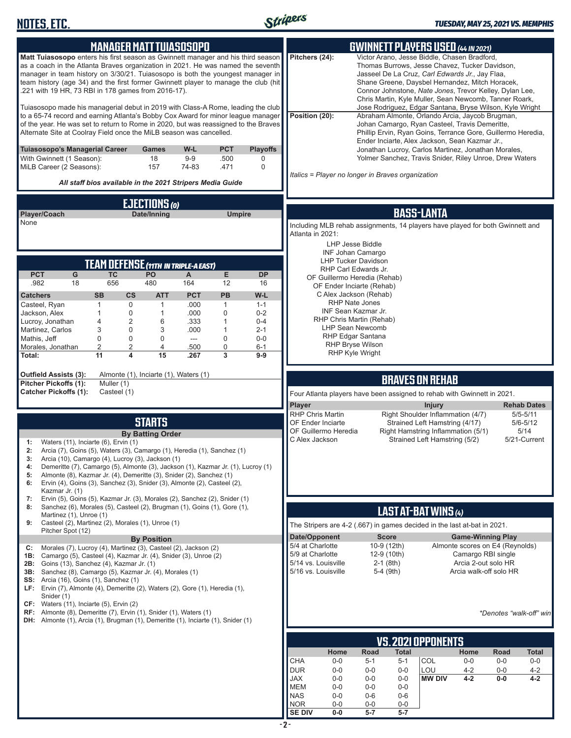

|                                                                                                                                                                                                                                                                                                                                                                                                    | <b>MANAGER MATT TUIASOSOPO</b>              |                       |                             |                           |                                                                                                   |                                                           |                            | <b>GWINNETT PLAYERS USED (44 IN 2021)</b>                                                                                                                                                                                                                                                                                 |                                                       |              |                              |
|----------------------------------------------------------------------------------------------------------------------------------------------------------------------------------------------------------------------------------------------------------------------------------------------------------------------------------------------------------------------------------------------------|---------------------------------------------|-----------------------|-----------------------------|---------------------------|---------------------------------------------------------------------------------------------------|-----------------------------------------------------------|----------------------------|---------------------------------------------------------------------------------------------------------------------------------------------------------------------------------------------------------------------------------------------------------------------------------------------------------------------------|-------------------------------------------------------|--------------|------------------------------|
| Matt Tuiasosopo enters his first season as Gwinnett manager and his third season<br>as a coach in the Atlanta Braves organization in 2021. He was named the seventh<br>manager in team history on 3/30/21. Tuiasosopo is both the youngest manager in<br>team history (age 34) and the first former Gwinnett player to manage the club (hit<br>.221 with 19 HR, 73 RBI in 178 games from 2016-17). |                                             |                       |                             |                           | Pitchers (24):                                                                                    |                                                           |                            | Victor Arano, Jesse Biddle, Chasen Bradford,<br>Thomas Burrows, Jesse Chavez, Tucker Davidson,<br>Jasseel De La Cruz, Carl Edwards Jr., Jay Flaa,<br>Shane Greene, Daysbel Hernandez, Mitch Horacek,<br>Connor Johnstone, Nate Jones, Trevor Kelley, Dylan Lee,<br>Chris Martin, Kyle Muller, Sean Newcomb, Tanner Roark, |                                                       |              |                              |
| Tuiasosopo made his managerial debut in 2019 with Class-A Rome, leading the club<br>to a 65-74 record and earning Atlanta's Bobby Cox Award for minor league manager<br>of the year. He was set to return to Rome in 2020, but was reassigned to the Braves<br>Alternate Site at Coolray Field once the MiLB season was cancelled.                                                                 |                                             |                       |                             |                           | Position (20):                                                                                    |                                                           |                            | Jose Rodriguez, Edgar Santana, Bryse Wilson, Kyle Wright<br>Abraham Almonte, Orlando Arcia, Jaycob Brugman,<br>Johan Camargo, Ryan Casteel, Travis Demeritte,<br>Phillip Ervin, Ryan Goins, Terrance Gore, Guillermo Heredia,<br>Ender Inciarte, Alex Jackson, Sean Kazmar Jr.,                                           |                                                       |              |                              |
| Tuiasosopo's Managerial Career<br>With Gwinnett (1 Season):<br>MiLB Career (2 Seasons):                                                                                                                                                                                                                                                                                                            | <b>Games</b><br>18<br>157                   | W-L<br>$9-9$<br>74-83 | <b>PCT</b><br>.500<br>.471  | <b>Playoffs</b><br>0<br>0 | Italics = Player no longer in Braves organization                                                 |                                                           |                            | Jonathan Lucroy, Carlos Martinez, Jonathan Morales,<br>Yolmer Sanchez, Travis Snider, Riley Unroe, Drew Waters                                                                                                                                                                                                            |                                                       |              |                              |
| All staff bios available in the 2021 Stripers Media Guide                                                                                                                                                                                                                                                                                                                                          |                                             |                       |                             |                           |                                                                                                   |                                                           |                            |                                                                                                                                                                                                                                                                                                                           |                                                       |              |                              |
|                                                                                                                                                                                                                                                                                                                                                                                                    | EJECTIONS (O)                               |                       |                             |                           |                                                                                                   |                                                           |                            |                                                                                                                                                                                                                                                                                                                           |                                                       |              |                              |
| Player/Coach<br>None                                                                                                                                                                                                                                                                                                                                                                               | Date/Inning                                 |                       | <b>Umpire</b>               |                           | Including MLB rehab assignments, 14 players have played for both Gwinnett and<br>Atlanta in 2021: | <b>LHP Jesse Biddle</b><br>INF Johan Camargo              |                            | <b>BASS-LANTA</b>                                                                                                                                                                                                                                                                                                         |                                                       |              |                              |
|                                                                                                                                                                                                                                                                                                                                                                                                    | <b>TEAM DEFENSE (11TH IN TRIPLE-A EAST)</b> |                       |                             |                           |                                                                                                   | <b>LHP Tucker Davidson</b><br>RHP Carl Edwards Jr.        |                            |                                                                                                                                                                                                                                                                                                                           |                                                       |              |                              |
| <b>PCT</b><br>G<br><b>TC</b><br>.982<br>18<br>656                                                                                                                                                                                                                                                                                                                                                  | PO<br>480                                   | A<br>164              | E<br>12                     | <b>DP</b><br>16           |                                                                                                   | OF Guillermo Heredia (Rehab)<br>OF Ender Inciarte (Rehab) |                            |                                                                                                                                                                                                                                                                                                                           |                                                       |              |                              |
| <b>SB</b><br><b>Catchers</b>                                                                                                                                                                                                                                                                                                                                                                       | СS<br><b>ATT</b>                            | <b>PCT</b>            | PB                          | W-L                       |                                                                                                   | C Alex Jackson (Rehab)                                    |                            |                                                                                                                                                                                                                                                                                                                           |                                                       |              |                              |
| Casteel, Ryan<br>1<br>Jackson, Alex<br>1                                                                                                                                                                                                                                                                                                                                                           | 0<br>$\mathbf{1}$<br>$\mathbf 0$<br>1       | .000<br>.000          | $\mathbf{1}$<br>$\mathbf 0$ | $1 - 1$<br>$0 - 2$        |                                                                                                   | RHP Nate Jones<br>INF Sean Kazmar Jr.                     |                            |                                                                                                                                                                                                                                                                                                                           |                                                       |              |                              |
| Lucroy, Jonathan<br>4                                                                                                                                                                                                                                                                                                                                                                              | $\overline{2}$<br>6                         | .333                  | 1                           | $0 - 4$                   |                                                                                                   | RHP Chris Martin (Rehab)<br><b>LHP Sean Newcomb</b>       |                            |                                                                                                                                                                                                                                                                                                                           |                                                       |              |                              |
| Martinez, Carlos<br>3<br>0<br>Mathis, Jeff                                                                                                                                                                                                                                                                                                                                                         | 0<br>3<br>0<br>$\mathbf 0$                  | .000<br>$---$         | 1<br>0                      | $2 - 1$<br>$0-0$          |                                                                                                   | RHP Edgar Santana                                         |                            |                                                                                                                                                                                                                                                                                                                           |                                                       |              |                              |
| $\overline{c}$<br>Morales, Jonathan<br>11<br>Total:                                                                                                                                                                                                                                                                                                                                                | 2<br>4<br>4<br>15                           | .500<br>.267          | $\mathbf 0$<br>3            | $6 - 1$<br>$9-9$          |                                                                                                   | <b>RHP Bryse Wilson</b><br>RHP Kyle Wright                |                            |                                                                                                                                                                                                                                                                                                                           |                                                       |              |                              |
|                                                                                                                                                                                                                                                                                                                                                                                                    |                                             |                       |                             |                           |                                                                                                   |                                                           |                            |                                                                                                                                                                                                                                                                                                                           |                                                       |              |                              |
|                                                                                                                                                                                                                                                                                                                                                                                                    |                                             |                       |                             |                           |                                                                                                   |                                                           |                            |                                                                                                                                                                                                                                                                                                                           |                                                       |              |                              |
| <b>Outfield Assists (3):</b>                                                                                                                                                                                                                                                                                                                                                                       | Almonte (1), Inciarte (1), Waters (1)       |                       |                             |                           |                                                                                                   |                                                           |                            |                                                                                                                                                                                                                                                                                                                           |                                                       |              |                              |
| <b>Pitcher Pickoffs (1):</b><br>Muller (1)<br><b>Catcher Pickoffs (1):</b>                                                                                                                                                                                                                                                                                                                         | Casteel (1)                                 |                       |                             |                           | Four Atlanta players have been assigned to rehab with Gwinnett in 2021.                           |                                                           |                            | <b>BRAVES ON REHAB</b>                                                                                                                                                                                                                                                                                                    |                                                       |              |                              |
|                                                                                                                                                                                                                                                                                                                                                                                                    |                                             |                       |                             |                           | Player                                                                                            |                                                           |                            | <b>Injury</b>                                                                                                                                                                                                                                                                                                             |                                                       |              | <b>Rehab Dates</b>           |
|                                                                                                                                                                                                                                                                                                                                                                                                    |                                             |                       |                             |                           | <b>RHP Chris Martin</b><br>OF Ender Inciarte                                                      |                                                           |                            | Right Shoulder Inflammation (4/7)                                                                                                                                                                                                                                                                                         |                                                       |              | $5/5 - 5/11$<br>$5/6 - 5/12$ |
|                                                                                                                                                                                                                                                                                                                                                                                                    | <b>STARTS</b><br><b>By Batting Order</b>    |                       |                             |                           | OF Guillermo Heredia                                                                              |                                                           |                            | Strained Left Hamstring (4/17)<br>Right Hamstring Inflammation (5/1)                                                                                                                                                                                                                                                      |                                                       |              | 5/14                         |
| Waters (11), Inciarte (6), Ervin (1)<br>1:<br>2:                                                                                                                                                                                                                                                                                                                                                   |                                             |                       |                             |                           | C Alex Jackson                                                                                    |                                                           |                            | Strained Left Hamstring (5/2)                                                                                                                                                                                                                                                                                             |                                                       |              | 5/21-Current                 |
| Arcia (7), Goins (5), Waters (3), Camargo (1), Heredia (1), Sanchez (1)<br>Arcia (10), Camargo (4), Lucroy (3), Jackson (1)<br>3:                                                                                                                                                                                                                                                                  |                                             |                       |                             |                           |                                                                                                   |                                                           |                            |                                                                                                                                                                                                                                                                                                                           |                                                       |              |                              |
| Demeritte (7), Camargo (5), Almonte (3), Jackson (1), Kazmar Jr. (1), Lucroy (1)<br>4:<br>Almonte (8), Kazmar Jr. (4), Demeritte (3), Snider (2), Sanchez (1)<br>5:<br>Ervin (4), Goins (3), Sanchez (3), Snider (3), Almonte (2), Casteel (2),<br>6:                                                                                                                                              |                                             |                       |                             |                           |                                                                                                   |                                                           |                            |                                                                                                                                                                                                                                                                                                                           |                                                       |              |                              |
| Kazmar Jr. (1)<br>Ervin (5), Goins (5), Kazmar Jr. (3), Morales (2), Sanchez (2), Snider (1)<br>7:                                                                                                                                                                                                                                                                                                 |                                             |                       |                             |                           |                                                                                                   |                                                           |                            |                                                                                                                                                                                                                                                                                                                           |                                                       |              |                              |
| Sanchez (6), Morales (5), Casteel (2), Brugman (1), Goins (1), Gore (1),<br>8:<br>Martinez (1), Unroe (1)                                                                                                                                                                                                                                                                                          |                                             |                       |                             |                           |                                                                                                   |                                                           |                            | LAST AT-BAT WINS (4)                                                                                                                                                                                                                                                                                                      |                                                       |              |                              |
| Casteel (2), Martinez (2), Morales (1), Unroe (1)<br>9:                                                                                                                                                                                                                                                                                                                                            |                                             |                       |                             |                           | The Stripers are 4-2 (.667) in games decided in the last at-bat in 2021.                          |                                                           |                            |                                                                                                                                                                                                                                                                                                                           |                                                       |              |                              |
| Pitcher Spot (12)                                                                                                                                                                                                                                                                                                                                                                                  | <b>By Position</b>                          |                       |                             |                           | Date/Opponent                                                                                     |                                                           | <b>Score</b>               |                                                                                                                                                                                                                                                                                                                           | <b>Game-Winning Play</b>                              |              |                              |
| Morales (7), Lucroy (4), Martinez (3), Casteel (2), Jackson (2)<br>C:<br>Camargo (5), Casteel (4), Kazmar Jr. (4), Snider (3), Unroe (2)<br>1B:                                                                                                                                                                                                                                                    |                                             |                       |                             |                           | 5/4 at Charlotte<br>5/9 at Charlotte                                                              |                                                           | 10-9 (12th)<br>12-9 (10th) |                                                                                                                                                                                                                                                                                                                           | Almonte scores on E4 (Reynolds)<br>Camargo RBI single |              |                              |
| 2B:<br>Goins (13), Sanchez (4), Kazmar Jr. (1)<br>3B:<br>Sanchez (8), Camargo (5), Kazmar Jr. (4), Morales (1)                                                                                                                                                                                                                                                                                     |                                             |                       |                             |                           | 5/14 vs. Louisville<br>5/16 vs. Louisville                                                        |                                                           | $2-1$ (8th)<br>5-4 (9th)   |                                                                                                                                                                                                                                                                                                                           | Arcia 2-out solo HR<br>Arcia walk-off solo HR         |              |                              |
| <b>SS:</b> Arcia (16), Goins (1), Sanchez (1)                                                                                                                                                                                                                                                                                                                                                      |                                             |                       |                             |                           |                                                                                                   |                                                           |                            |                                                                                                                                                                                                                                                                                                                           |                                                       |              |                              |
| LF: Ervin (7), Almonte (4), Demeritte (2), Waters (2), Gore (1), Heredia (1),<br>Snider (1)                                                                                                                                                                                                                                                                                                        |                                             |                       |                             |                           |                                                                                                   |                                                           |                            |                                                                                                                                                                                                                                                                                                                           |                                                       |              |                              |
| $CF:$ Waters (11), Inciarte (5), Ervin (2)<br>RF: Almonte (8), Demeritte (7), Ervin (1), Snider (1), Waters (1)<br><b>DH:</b> Almonte (1), Arcia (1), Brugman (1), Demeritte (1), Inciarte (1), Snider (1)                                                                                                                                                                                         |                                             |                       |                             |                           |                                                                                                   |                                                           |                            |                                                                                                                                                                                                                                                                                                                           |                                                       |              |                              |
|                                                                                                                                                                                                                                                                                                                                                                                                    |                                             |                       |                             |                           |                                                                                                   |                                                           |                            |                                                                                                                                                                                                                                                                                                                           |                                                       |              | *Denotes "walk-off" win      |
|                                                                                                                                                                                                                                                                                                                                                                                                    |                                             |                       |                             |                           | Home                                                                                              | Road                                                      | <b>Total</b>               | VS.2021 OPPONENTS                                                                                                                                                                                                                                                                                                         | Home                                                  | Road         | <b>Total</b>                 |
|                                                                                                                                                                                                                                                                                                                                                                                                    |                                             |                       |                             |                           | <b>CHA</b><br>$0-0$                                                                               | $5 - 1$                                                   | 5-1                        | COL                                                                                                                                                                                                                                                                                                                       | $0-0$                                                 | $0-0$        | $0-0$                        |
|                                                                                                                                                                                                                                                                                                                                                                                                    |                                             |                       |                             |                           | <b>DUR</b><br>$0-0$<br><b>JAX</b><br>$0 - 0$                                                      | $0-0$<br>$0-0$                                            | $0-0$<br>$0-0$             | LOU<br><b>MW DIV</b>                                                                                                                                                                                                                                                                                                      | $4 - 2$<br>$4 - 2$                                    | 0-0<br>$0-0$ | $4 - 2$<br>$4 - 2$           |

NOR 0-0 0-0 0-0 **SE DIV 0-0 5-7 5-7**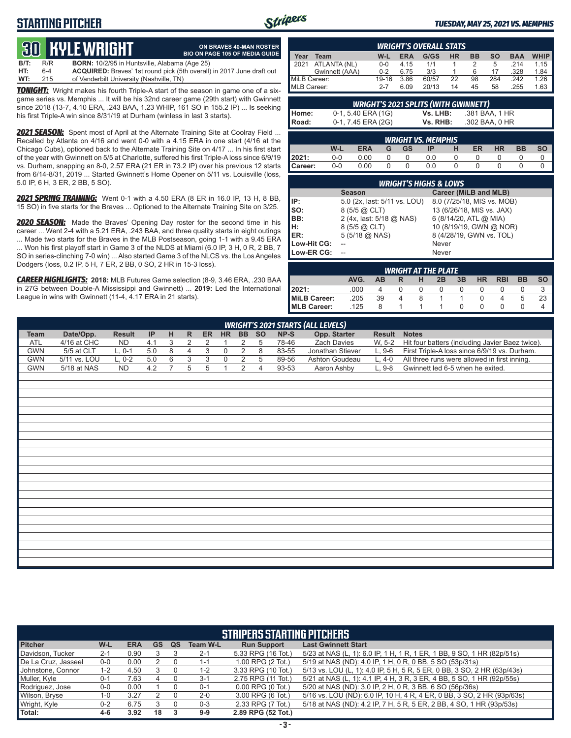## **STARTING PITCHER**



**ON BRAVES 40-MAN ROSTER BIO ON PAGE 105 OF MEDIA GUIDE**

#### *TUESDAY, MAY 25, 2021 VS. MEMPHIS*

# **30****KYLE WRIGHT**

**B/T:** R/R **BORN:** 10/2/95 in Huntsville, Alabama (Age 25) **HT:** 6-4 **ACQUIRED:** Braves' 1st round pick (5th overall) in 2017 June draft out **WT:** 215 of Vanderbilt University (Nashville, TN)

*TONIGHT:* Wright makes his fourth Triple-A start of the season in game one of a sixgame series vs. Memphis ... It will be his 32nd career game (29th start) with Gwinnett since 2018 (13-7, 4.10 ERA, .243 BAA, 1.23 WHIP, 161 SO in 155.2 IP) ... Is seeking his first Triple-A win since 8/31/19 at Durham (winless in last 3 starts).

*2021 SEASON:* Spent most of April at the Alternate Training Site at Coolray Field ... Recalled by Atlanta on 4/16 and went 0-0 with a 4.15 ERA in one start (4/16 at the Chicago Cubs), optioned back to the Alternate Training Site on 4/17 ... In his first start of the year with Gwinnett on 5/5 at Charlotte, suffered his first Triple-A loss since 6/9/19 vs. Durham, snapping an 8-0, 2.57 ERA (21 ER in 73.2 IP) over his previous 12 starts from 6/14-8/31, 2019 ... Started Gwinnett's Home Opener on 5/11 vs. Louisville (loss, 5.0 IP, 6 H, 3 ER, 2 BB, 5 SO).

*2021 SPRING TRAINING:* Went 0-1 with a 4.50 ERA (8 ER in 16.0 IP, 13 H, 8 BB, 15 SO) in five starts for the Braves ... Optioned to the Alternate Training Site on 3/25.

*2020 SEASON:* Made the Braves' Opening Day roster for the second time in his career ... Went 2-4 with a 5.21 ERA, .243 BAA, and three quality starts in eight outings ... Made two starts for the Braves in the MLB Postseason, going 1-1 with a 9.45 ERA ... Won his first playoff start in Game 3 of the NLDS at Miami (6.0 IP, 3 H, 0 R, 2 BB, 7 SO in series-clinching 7-0 win) ... Also started Game 3 of the NLCS vs. the Los Angeles Dodgers (loss, 0.2 IP, 5 H, 7 ER, 2 BB, 0 SO, 2 HR in 15-3 loss).

*CAREER HIGHLIGHTS:* **2018:** MLB Futures Game selection (8-9, 3.46 ERA, .230 BAA in 27G between Double-A Mississippi and Gwinnett) ... **2019:** Led the International League in wins with Gwinnett (11-4, 4.17 ERA in 21 starts).

|              |                |         |            | <b>WRIGHT'S OVERALL STATS</b> |    |           |           |            |             |
|--------------|----------------|---------|------------|-------------------------------|----|-----------|-----------|------------|-------------|
| Year         | Team           | W-L     | <b>ERA</b> | G/GS                          | НR | <b>BB</b> | <b>SO</b> | <b>BAA</b> | <b>WHIP</b> |
| 2021         | ATLANTA (NL)   | $0 - 0$ | 4.15       | 1/1                           |    |           | 5         | 214        | 1.15        |
|              | Gwinnett (AAA) | $0 - 2$ | 6.75       | 3/3                           |    | 6         | 17        | .328       | 1.84        |
| MiLB Career: |                | 19-16   | 3.86       | 60/57                         | 22 | 98        | 284       | 242        | 1.26        |
| MLB Career:  |                | $2 - 7$ | 6.09       | 20/13                         | 14 | 45        | 58        | 255        | 1.63        |

| <b>WRIGHT'S 2021 SPLITS (WITH GWINNETT)</b> |         |                    |   |          |                           |  |                |           |           |           |  |  |  |
|---------------------------------------------|---------|--------------------|---|----------|---------------------------|--|----------------|-----------|-----------|-----------|--|--|--|
| Home:                                       |         | 0-1, 5.40 ERA (1G) |   |          | Vs. LHB:                  |  | .381 BAA, 1 HR |           |           |           |  |  |  |
| Road:                                       |         | 0-1, 7.45 ERA (2G) |   |          | Vs. RHB:                  |  | .302 BAA, 0 HR |           |           |           |  |  |  |
|                                             |         |                    |   |          | <b>WRIGHT VS. MEMPHIS</b> |  |                |           |           |           |  |  |  |
|                                             | W-L     | <b>ERA</b>         | G | GS       |                           |  | <b>ER</b>      | <b>HR</b> | <b>BB</b> | <b>SO</b> |  |  |  |
| 2021:                                       | $0 - 0$ | 0.00               |   | $\Omega$ | 0.0                       |  | $\Omega$       | $\Omega$  |           |           |  |  |  |

| <b>Career:</b> | $0 - 0$ | 0.00                         |                                  | 0.0   |                            |  |  |
|----------------|---------|------------------------------|----------------------------------|-------|----------------------------|--|--|
|                |         |                              | <b>WRIGHT'S HIGHS &amp; LOWS</b> |       |                            |  |  |
|                |         | <b>Season</b>                |                                  |       | Career (MiLB and MLB)      |  |  |
| IIP:           |         | 5.0 (2x, last: 5/11 vs. LOU) |                                  |       | 8.0 (7/25/18, MIS vs. MOB) |  |  |
| Iso:           |         | 8 (5/5 @ CLT)                |                                  |       | 13 (6/26/18, MIS vs. JAX)  |  |  |
| IBB:           |         | 2 (4x, last: 5/18 @ NAS)     |                                  |       | 6 (8/14/20, ATL @ MIA)     |  |  |
| Iн:            |         | 8 (5/5 @ CLT)                |                                  |       | 10 (8/19/19, GWN @ NOR)    |  |  |
| <b>IER:</b>    |         | $5(5/18)$ ( $0. NAS$ )       |                                  |       | 8 (4/28/19, GWN vs. TOL)   |  |  |
| Low-Hit CG:    |         |                              |                                  | Never |                            |  |  |
| Low-ER CG:     |         |                              |                                  | Never |                            |  |  |

| <b>WRIGHT AT THE PLATE</b> |      |           |   |                  |    |              |           |            |           |           |  |  |
|----------------------------|------|-----------|---|------------------|----|--------------|-----------|------------|-----------|-----------|--|--|
|                            | AVG. | <b>AB</b> |   | н                | 2B | 3B           | <b>HR</b> | <b>RBI</b> | <b>BB</b> | <b>SO</b> |  |  |
| 2021:                      | .000 |           |   | $\left( \right)$ |    | $\mathbf{0}$ |           |            |           |           |  |  |
| <b>MiLB Career:</b>        | .205 | 39        | 4 | 8                |    |              |           |            | b         | 23        |  |  |
| MLB Career:                | 125  |           |   |                  |    |              |           |            |           |           |  |  |

|             | <b>WRIGHT'S 2021 STARTS (ALL LEVELS)</b><br>BB SO |               |     |   |                |                |                |                |                |       |                  |               |                                                 |  |  |
|-------------|---------------------------------------------------|---------------|-----|---|----------------|----------------|----------------|----------------|----------------|-------|------------------|---------------|-------------------------------------------------|--|--|
| <b>Team</b> | Date/Opp.                                         | <b>Result</b> | IP  | H | $\mathsf{R}$   | ER             | <b>HR</b>      |                |                | NP-S  | Opp. Starter     | <b>Result</b> | <b>Notes</b>                                    |  |  |
| <b>ATL</b>  | 4/16 at CHC                                       | <b>ND</b>     | 4.1 | 3 | 2              | $\overline{2}$ |                | $\overline{2}$ | 5              | 78-46 | Zach Davies      | W, 5-2        | Hit four batters (including Javier Baez twice). |  |  |
| <b>GWN</b>  | 5/5 at CLT                                        | $L, 0-1$      | 5.0 | 8 | $\overline{4}$ | 3              | $\mathsf 0$    | $\overline{2}$ | 8              | 83-55 | Jonathan Stiever | $L, 9-6$      | First Triple-A loss since 6/9/19 vs. Durham.    |  |  |
| <b>GWN</b>  | 5/11 vs. LOU                                      | $L, 0-2$      | 5.0 | 6 | $\overline{3}$ | 3              | $\mathbf 0$    | $\overline{2}$ | $\overline{5}$ | 89-56 | Ashton Goudeau   | $L, 4-0$      | All three runs were allowed in first inning.    |  |  |
| <b>GWN</b>  | 5/18 at NAS                                       | <b>ND</b>     | 4.2 | 7 | 5              | 5              | $\overline{1}$ | $\overline{2}$ | 4              | 93-53 | Aaron Ashby      | $L, 9-8$      | Gwinnett led 6-5 when he exited.                |  |  |
|             |                                                   |               |     |   |                |                |                |                |                |       |                  |               |                                                 |  |  |
|             |                                                   |               |     |   |                |                |                |                |                |       |                  |               |                                                 |  |  |
|             |                                                   |               |     |   |                |                |                |                |                |       |                  |               |                                                 |  |  |
|             |                                                   |               |     |   |                |                |                |                |                |       |                  |               |                                                 |  |  |
|             |                                                   |               |     |   |                |                |                |                |                |       |                  |               |                                                 |  |  |
|             |                                                   |               |     |   |                |                |                |                |                |       |                  |               |                                                 |  |  |
|             |                                                   |               |     |   |                |                |                |                |                |       |                  |               |                                                 |  |  |
|             |                                                   |               |     |   |                |                |                |                |                |       |                  |               |                                                 |  |  |
|             |                                                   |               |     |   |                |                |                |                |                |       |                  |               |                                                 |  |  |
|             |                                                   |               |     |   |                |                |                |                |                |       |                  |               |                                                 |  |  |
|             |                                                   |               |     |   |                |                |                |                |                |       |                  |               |                                                 |  |  |
|             |                                                   |               |     |   |                |                |                |                |                |       |                  |               |                                                 |  |  |
|             |                                                   |               |     |   |                |                |                |                |                |       |                  |               |                                                 |  |  |
|             |                                                   |               |     |   |                |                |                |                |                |       |                  |               |                                                 |  |  |
|             |                                                   |               |     |   |                |                |                |                |                |       |                  |               |                                                 |  |  |
|             |                                                   |               |     |   |                |                |                |                |                |       |                  |               |                                                 |  |  |
|             |                                                   |               |     |   |                |                |                |                |                |       |                  |               |                                                 |  |  |
|             |                                                   |               |     |   |                |                |                |                |                |       |                  |               |                                                 |  |  |
|             |                                                   |               |     |   |                |                |                |                |                |       |                  |               |                                                 |  |  |
|             |                                                   |               |     |   |                |                |                |                |                |       |                  |               |                                                 |  |  |
|             |                                                   |               |     |   |                |                |                |                |                |       |                  |               |                                                 |  |  |
|             |                                                   |               |     |   |                |                |                |                |                |       |                  |               |                                                 |  |  |
|             |                                                   |               |     |   |                |                |                |                |                |       |                  |               |                                                 |  |  |

|                     |         |            |    |    |                 | <b>STRIPERS STARTING PITCHERS</b> |                                                                         |
|---------------------|---------|------------|----|----|-----------------|-----------------------------------|-------------------------------------------------------------------------|
| <b>Pitcher</b>      | W-L     | <b>ERA</b> | GS | QS | <b>Team W-L</b> | <b>Run Support</b>                | <b>Last Gwinnett Start</b>                                              |
| Davidson, Tucker    | $2 - 1$ | 0.90       |    |    | $2 - 1$         | 5.33 RPG (16 Tot.)                | 5/23 at NAS (L, 1): 6.0 IP, 1 H, 1 R, 1 ER, 1 BB, 9 SO, 1 HR (82p/51s)  |
| De La Cruz, Jasseel | $0-0$   | 0.00       |    |    | 1-1             | 1.00 RPG (2 Tot.)                 | 5/19 at NAS (ND): 4.0 IP, 1 H, 0 R, 0 BB, 5 SO (53p/31s)                |
| Johnstone, Connor   | $1 - 2$ | 4.50       |    |    | $1 - 2$         | 3.33 RPG (10 Tot.)                | 5/13 vs. LOU (L, 1): 4.0 IP, 5 H, 5 R, 5 ER, 0 BB, 3 SO, 2 HR (63p/43s) |
| Muller, Kyle        | $0 - 1$ | 7.63       |    |    | $3 - 1$         | 2.75 RPG (11 Tot.)                | 5/21 at NAS (L, 1): 4.1 IP, 4 H, 3 R, 3 ER, 4 BB, 5 SO, 1 HR (92p/55s)  |
| Rodriguez, Jose     | $0-0$   | 0.00       |    |    | $0 - 1$         | $0.00$ RPG $(0$ Tot.)             | 5/20 at NAS (ND): 3.0 IP, 2 H, 0 R, 3 BB, 6 SO (56p/36s)                |
| Wilson, Bryse       | 1-0     | 3.27       |    |    | $2 - 0$         | 3.00 RPG (6 Tot.)                 | 5/16 vs. LOU (ND): 6.0 IP, 10 H, 4 R, 4 ER, 0 BB, 3 SO, 2 HR (93p/63s)  |
| Wright, Kyle        | $0 - 2$ | 6.75       |    |    | $0 - 3$         | 2.33 RPG (7 Tot.)                 | 5/18 at NAS (ND): 4.2 IP, 7 H, 5 R, 5 ER, 2 BB, 4 SO, 1 HR (93p/53s)    |
| Total:              | 4-6     | 3.92       | 18 |    | $9-9$           | 2.89 RPG (52 Tot.)                |                                                                         |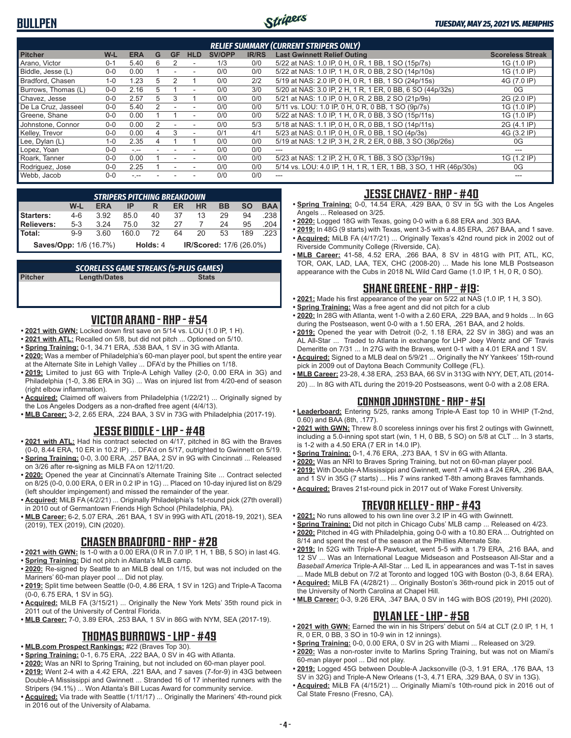

|                     | <b>RELIEF SUMMARY (CURRENT STRIPERS ONLY)</b> |            |   |           |                          |               |              |                                                                  |                         |  |  |  |  |
|---------------------|-----------------------------------------------|------------|---|-----------|--------------------------|---------------|--------------|------------------------------------------------------------------|-------------------------|--|--|--|--|
| <b>Pitcher</b>      | W-L                                           | <b>ERA</b> | G | <b>GF</b> | <b>HLD</b>               | <b>SV/OPP</b> | <b>IR/RS</b> | <b>Last Gwinnett Relief Outing</b>                               | <b>Scoreless Streak</b> |  |  |  |  |
| Arano. Victor       | $0 - 1$                                       | 5.40       | 6 | 2         | ٠                        | 1/3           | 0/0          | 5/22 at NAS: 1.0 IP, 0 H, 0 R, 1 BB, 1 SO (15p/7s)               | 1G (1.0 IP)             |  |  |  |  |
| Biddle, Jesse (L)   | $0 - 0$                                       | 0.00       |   |           |                          | 0/0           | 0/0          | 5/22 at NAS: 1.0 IP, 1 H, 0 R, 0 BB, 2 SO (14p/10s)              | 1G (1.0 IP)             |  |  |  |  |
| Bradford, Chasen    | $1 - 0$                                       | 1.23       | 5 |           |                          | 0/0           | 2/2          | 5/19 at NAS: 2.0 IP, 0 H, 0 R, 1 BB, 1 SO (24p/15s)              | 4G (7.0 IP)             |  |  |  |  |
| Burrows, Thomas (L) | $0 - 0$                                       | 2.16       | 5 |           | $\overline{\phantom{a}}$ | 0/0           | 3/0          | 5/20 at NAS: 3.0 IP, 2 H, 1 R, 1 ER, 0 BB, 6 SO (44p/32s)        | 0G                      |  |  |  |  |
| Chavez. Jesse       | $0 - 0$                                       | 2.57       | 5 |           |                          | 0/0           | 0/0          | 5/21 at NAS: 1.0 IP, 0 H, 0 R, 2 BB, 2 SO (21p/9s)               | 2G (2.0 IP)             |  |  |  |  |
| De La Cruz, Jasseel | $0 - 0$                                       | 5.40       |   |           | ۰                        | 0/0           | 0/0          | 5/11 vs. LOU: 1.0 IP, 0 H, 0 R, 0 BB, 1 SO (9p/7s)               | 1G (1.0 IP)             |  |  |  |  |
| Greene, Shane       | $0 - 0$                                       | 0.00       |   |           | ۰                        | 0/0           | 0/0          | 5/22 at NAS: 1.0 IP, 1 H, 0 R, 0 BB, 3 SO (15p/11s)              | 1G (1.0 IP)             |  |  |  |  |
| Johnstone, Connor   | $0 - 0$                                       | 0.00       | 2 |           | ۰                        | 0/0           | 5/3          | 5/18 at NAS: 1.1 IP, 0 H, 0 R, 0 BB, 1 SO (14p/11s)              | 2G (4.1 IP)             |  |  |  |  |
| Kelley, Trevor      | $0 - 0$                                       | 0.00       | 4 |           | ۰                        | 0/1           | 4/1          | 5/23 at NAS: 0.1 IP, 0 H, 0 R, 0 BB, 1 SO (4p/3s)                | 4G (3.2 IP)             |  |  |  |  |
| Lee, Dylan (L)      | $1 - 0$                                       | 2.35       |   |           |                          | 0/0           | 0/0          | 5/19 at NAS: 1.2 IP, 3 H, 2 R, 2 ER, 0 BB, 3 SO (36p/26s)        | 0G                      |  |  |  |  |
| Lopez, Yoan         | $0 - 0$                                       | $-1$       |   |           |                          | 0/0           | 0/0          | $- - -$                                                          | ---                     |  |  |  |  |
| Roark. Tanner       | $0 - 0$                                       | 0.00       |   |           | ۰                        | 0/0           | 0/0          | 5/23 at NAS: 1.2 IP, 2 H, 0 R, 1 BB, 3 SO (33p/19s)              | 1G (1.2 IP)             |  |  |  |  |
| Rodriguez, Jose     | $0 - 0$                                       | 2.25       |   |           |                          | 0/0           | 0/0          | 5/14 vs. LOU: 4.0 IP, 1 H, 1 R, 1 ER, 1 BB, 3 SO, 1 HR (46p/30s) | 0G                      |  |  |  |  |
| Webb. Jacob         | $0 - 0$                                       | - --       |   |           |                          | 0/0           | 0/0          | ---                                                              | ---                     |  |  |  |  |

| <b>STRIPERS PITCHING BREAKDOWN</b> |         |            |       |          |    |                         |    |           |            |  |  |
|------------------------------------|---------|------------|-------|----------|----|-------------------------|----|-----------|------------|--|--|
|                                    | W-L     | <b>ERA</b> | IP    | R        | ER | <b>HR</b>               | BB | <b>SO</b> | <b>BAA</b> |  |  |
| Starters:                          | $4-6$   | 3.92       | 85.0  | 40       | 37 | 13                      | 29 | 94        | .238       |  |  |
| <b>Relievers:</b>                  | $5-3$   | 3 24       | 75.0  | 32       | 27 |                         | 24 | 95        | .204       |  |  |
| Total:                             | $9 - 9$ | 3.60       | 160 Q | 72       | 64 | 20                      | 53 | 189       | .223       |  |  |
| <b>Saves/Opp: 1/6 (16.7%)</b>      |         |            |       | Holds: 4 |    | IR/Scored: 17/6 (26.0%) |    |           |            |  |  |

|                | <b>SCORELESS GAME STREAKS (5-PLUS GAMES)</b> |              |  |
|----------------|----------------------------------------------|--------------|--|
| <b>Pitcher</b> | Length/Dates                                 | <b>Stats</b> |  |
|                |                                              |              |  |

#### **VICTOR ARANO - RHP - #54**

- **• 2021 with GWN:** Locked down first save on 5/14 vs. LOU (1.0 IP, 1 H).
- **• 2021 with ATL:** Recalled on 5/8, but did not pitch ... Optioned on 5/10.
- **• Spring Training:** 0-1, 34.71 ERA, .538 BAA, 1 SV in 3G with Atlanta.
- **• 2020:** Was a member of Philadelphia's 60-man player pool, but spent the entire year at the Alternate Site in Lehigh Valley ... DFA'd by the Phillies on 1/18.
- **• 2019:** Limited to just 6G with Triple-A Lehigh Valley (2-0, 0.00 ERA in 3G) and Philadelphia (1-0, 3.86 ERA in 3G) ... Was on injured list from 4/20-end of season (right elbow inflammation).
- **• Acquired:** Claimed off waivers from Philadelphia (1/22/21) ... Originally signed by the Los Angeles Dodgers as a non-drafted free agent (4/4/13).
- **• MLB Career:** 3-2, 2.65 ERA, .224 BAA, 3 SV in 73G with Philadelphia (2017-19).

#### **JESSE BIDDLE - LHP - #48**

- **• 2021 with ATL:** Had his contract selected on 4/17, pitched in 8G with the Braves
- (0-0, 8.44 ERA, 10 ER in 10.2 IP) ... DFA'd on 5/17, outrighted to Gwinnett on 5/19. **• Spring Training:** 0-0, 3.00 ERA, .257 BAA, 2 SV in 9G with Cincinnati ... Released
- on 3/26 after re-signing as MiLB FA on 12/11/20. **• 2020:** Opened the year at Cincinnati's Alternate Training Site ... Contract selected on 8/25 (0-0, 0.00 ERA, 0 ER in 0.2 IP in 1G) ... Placed on 10-day injured list on 8/29
- (left shoulder impingement) and missed the remainder of the year. **• Acquired:** MiLB FA (4/2/21) ... Originally Philadelphia's 1st-round pick (27th overall)
- in 2010 out of Germantown Friends High School (Philadelphia, PA). **• MLB Career:** 6-2, 5.07 ERA, .261 BAA, 1 SV in 99G with ATL (2018-19, 2021), SEA (2019), TEX (2019), CIN (2020).

## **CHASEN BRADFORD - RHP - #28**

- **• 2021 with GWN:** Is 1-0 with a 0.00 ERA (0 R in 7.0 IP, 1 H, 1 BB, 5 SO) in last 4G. **• Spring Training:** Did not pitch in Atlanta's MLB camp.
- **• 2020:** Re-signed by Seattle to an MiLB deal on 1/15, but was not included on the Mariners' 60-man player pool ... Did not play.
- **• 2019:** Split time between Seattle (0-0, 4.86 ERA, 1 SV in 12G) and Triple-A Tacoma (0-0, 6.75 ERA, 1 SV in 5G).
- **• Acquired:** MiLB FA (3/15/21) ... Originally the New York Mets' 35th round pick in 2011 out of the University of Central Florida.
- **• MLB Career:** 7-0, 3.89 ERA, .253 BAA, 1 SV in 86G with NYM, SEA (2017-19).

## **THOMAS BURROWS - LHP - #49**

- **• MLB.com Prospect Rankings:** #22 (Braves Top 30).
- **• Spring Training:** 0-1, 6.75 ERA, .222 BAA, 0 SV in 4G with Atlanta.
- **• 2020:** Was an NRI to Spring Training, but not included on 60-man player pool. **• 2019:** Went 2-4 with a 4.42 ERA, .221 BAA, and 7 saves (7-for-9) in 43G between Double-A Mississippi and Gwinnett ... Stranded 16 of 17 inherited runners with the Stripers (94.1%) ... Won Atlanta's Bill Lucas Award for community service.
- **• Acquired:** Via trade with Seattle (1/11/17) ... Originally the Mariners' 4th-round pick in 2016 out of the University of Alabama.

#### **JESSE CHAVEZ - RHP - #40**

- **• Spring Training:** 0-0, 14.54 ERA, .429 BAA, 0 SV in 5G with the Los Angeles Angels ... Released on 3/25.
- **• 2020:** Logged 18G with Texas, going 0-0 with a 6.88 ERA and .303 BAA.
- **• 2019:** In 48G (9 starts) with Texas, went 3-5 with a 4.85 ERA, .267 BAA, and 1 save. **• Acquired:** MiLB FA (4/17/21) ... Originally Texas's 42nd round pick in 2002 out of Riverside Community College (Riverside, CA).
- **• MLB Career:** 41-58, 4.52 ERA, .266 BAA, 8 SV in 481G with PIT, ATL, KC, TOR, OAK, LAD, LAA, TEX, CHC (2008-20) ... Made his lone MLB Postseason appearance with the Cubs in 2018 NL Wild Card Game (1.0 IP, 1 H, 0 R, 0 SO).

#### **SHANE GREENE - RHP - #19:**

- **• 2021:** Made his first appearance of the year on 5/22 at NAS (1.0 IP, 1 H, 3 SO).
- **• Spring Training:** Was a free agent and did not pitch for a club
- **• 2020:** In 28G with Atlanta, went 1-0 with a 2.60 ERA, .229 BAA, and 9 holds ... In 6G during the Postseason, went 0-0 with a 1.50 ERA, .261 BAA, and 2 holds.
- **• 2019:** Opened the year with Detroit (0-2, 1.18 ERA, 22 SV in 38G) and was an AL All-Star ... Traded to Atlanta in exchange for LHP Joey Wentz and OF Travis Demeritte on 7/31 ... In 27G with the Braves, went 0-1 with a 4.01 ERA and 1 SV.
- **• Acquired:** Signed to a MLB deal on 5/9/21 ... Originally the NY Yankees' 15th-round pick in 2009 out of Daytona Beach Community Colllege (FL).
- **• MLB Career:** 23-28, 4.38 ERA, .253 BAA, 66 SV in 313G with NYY, DET, ATL (2014- 20) ... In 8G with ATL during the 2019-20 Postseasons, went 0-0 with a 2.08 ERA.

#### **CONNOR JOHNSTONE - RHP - #51**

- **• Leaderboard:** Entering 5/25, ranks among Triple-A East top 10 in WHIP (T-2nd, 0.60) and BAA (8th, .177).
- **• 2021 with GWN:** Threw 8.0 scoreless innings over his first 2 outings with Gwinnett, including a 5.0-inning spot start (win, 1 H, 0 BB, 5 SO) on 5/8 at CLT ... In 3 starts, is 1-2 with a 4.50 ERA (7 ER in 14.0 IP).
- **• Spring Training:** 0-1, 4.76 ERA, .273 BAA, 1 SV in 6G with Atlanta.
- **• 2020:** Was an NRI to Braves Spring Training, but not on 60-man player pool.
- **• 2019:** With Double-A Mississippi and Gwinnett, went 7-4 with a 4.24 ERA, .296 BAA, and 1 SV in 35G (7 starts) ... His 7 wins ranked T-8th among Braves farmhands.
- **• Acquired:** Braves 21st-round pick in 2017 out of Wake Forest University.

#### **TREVOR KELLEY - RHP - #43**

- **• 2021:** No runs allowed to his own line over 3.2 IP in 4G with Gwinnett.
- **• Spring Training:** Did not pitch in Chicago Cubs' MLB camp ... Released on 4/23.
- **• 2020:** Pitched in 4G with Philadelphia, going 0-0 with a 10.80 ERA ... Outrighted on 8/14 and spent the rest of the season at the Phillies Alternate Site.
- **• 2019:** In 52G with Triple-A Pawtucket, went 5-5 with a 1.79 ERA, .216 BAA, and 12 SV ... Was an International League Midseason and Postseason All-Star and a *Baseball America* Triple-A All-Star ... Led IL in appearances and was T-1st in saves ... Made MLB debut on 7/2 at Toronto and logged 10G with Boston (0-3, 8.64 ERA).
- **• Acquired:** MiLB FA (4/28/21) ... Originally Boston's 36th-round pick in 2015 out of the University of North Carolina at Chapel Hill.
- **• MLB Career:** 0-3, 9.26 ERA, .347 BAA, 0 SV in 14G with BOS (2019), PHI (2020).

#### **DYLAN LEE - LHP - #58**

- **• 2021 with GWN:** Earned the win in his Stripers' debut on 5/4 at CLT (2.0 IP, 1 H, 1 R, 0 ER, 0 BB, 3 SO in 10-9 win in 12 innings).
- **• Spring Training:** 0-0, 0.00 ERA, 0 SV in 2G with Miami ... Released on 3/29.
- **• 2020:** Was a non-roster invite to Marlins Spring Training, but was not on Miami's 60-man player pool ... Did not play.
- **• 2019:** Logged 45G between Double-A Jacksonville (0-3, 1.91 ERA, .176 BAA, 13 SV in 32G) and Triple-A New Orleans (1-3, 4.71 ERA, .329 BAA, 0 SV in 13G).
- **• Acquired:** MiLB FA (4/15/21) ... Originally Miami's 10th-round pick in 2016 out of Cal State Fresno (Fresno, CA).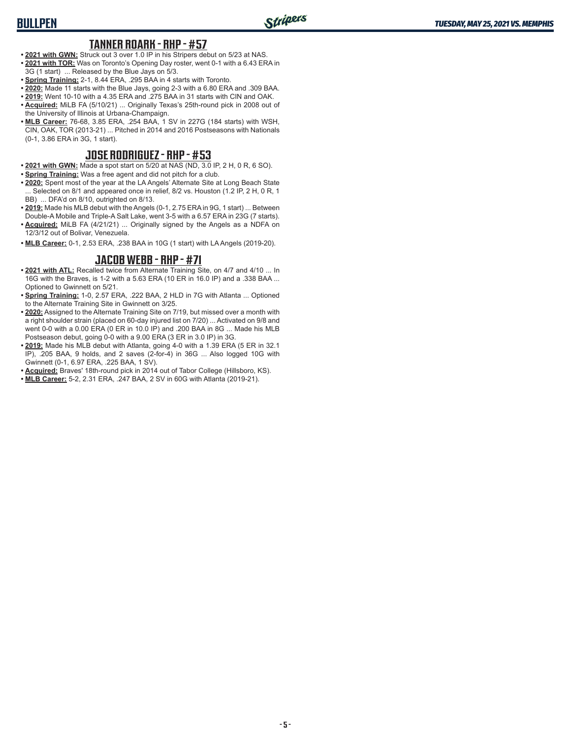#### **TANNER ROARK - RHP - #57**

- **• 2021 with GWN:** Struck out 3 over 1.0 IP in his Stripers debut on 5/23 at NAS. **• 2021 with TOR:** Was on Toronto's Opening Day roster, went 0-1 with a 6.43 ERA in 3G (1 start) ... Released by the Blue Jays on 5/3.
- 
- **• Spring Training:** 2-1, 8.44 ERA, .295 BAA in 4 starts with Toronto. **• 2020:** Made 11 starts with the Blue Jays, going 2-3 with a 6.80 ERA and .309 BAA.
- **• 2019:** Went 10-10 with a 4.35 ERA and .275 BAA in 31 starts with CIN and OAK.
- **• Acquired:** MiLB FA (5/10/21) ... Originally Texas's 25th-round pick in 2008 out of the University of Illinois at Urbana-Champaign.
- **• MLB Career:** 76-68, 3.85 ERA, .254 BAA, 1 SV in 227G (184 starts) with WSH, CIN, OAK, TOR (2013-21) ... Pitched in 2014 and 2016 Postseasons with Nationals (0-1, 3.86 ERA in 3G, 1 start).

#### **JOSE RODRIGUEZ - RHP - #53**

- **• 2021 with GWN:** Made a spot start on 5/20 at NAS (ND, 3.0 IP, 2 H, 0 R, 6 SO).
- **• Spring Training:** Was a free agent and did not pitch for a club.
- **• 2020:** Spent most of the year at the LA Angels' Alternate Site at Long Beach State  $\ldots$  Selected on 8/1 and appeared once in relief, 8/2 vs. Houston (1.2 IP, 2 H, 0 R, 1 BB) ... DFA'd on 8/10, outrighted on 8/13.
- **• 2019:** Made his MLB debut with the Angels (0-1, 2.75 ERA in 9G, 1 start) ... Between
- Double-A Mobile and Triple-A Salt Lake, went 3-5 with a 6.57 ERA in 23G (7 starts). **• Acquired:** MiLB FA (4/21/21) ... Originally signed by the Angels as a NDFA on 12/3/12 out of Bolivar, Venezuela.
- **• MLB Career:** 0-1, 2.53 ERA, .238 BAA in 10G (1 start) with LA Angels (2019-20).

#### **JACOB WEBB - RHP - #71**

- **• 2021 with ATL:** Recalled twice from Alternate Training Site, on 4/7 and 4/10 ... In 16G with the Braves, is 1-2 with a 5.63 ERA (10 ER in 16.0 IP) and a .338 BAA ... Optioned to Gwinnett on 5/21.
- **• Spring Training:** 1-0, 2.57 ERA, .222 BAA, 2 HLD in 7G with Atlanta ... Optioned to the Alternate Training Site in Gwinnett on 3/25.
- **• 2020:** Assigned to the Alternate Training Site on 7/19, but missed over a month with a right shoulder strain (placed on 60-day injured list on 7/20) ... Activated on 9/8 and went 0-0 with a 0.00 ERA (0 ER in 10.0 IP) and .200 BAA in 8G ... Made his MLB Postseason debut, going 0-0 with a 9.00 ERA (3 ER in 3.0 IP) in 3G.
- **• 2019:** Made his MLB debut with Atlanta, going 4-0 with a 1.39 ERA (5 ER in 32.1 IP), .205 BAA, 9 holds, and 2 saves (2-for-4) in 36G ... Also logged 10G with Gwinnett (0-1, 6.97 ERA, .225 BAA, 1 SV).
- **• Acquired:** Braves' 18th-round pick in 2014 out of Tabor College (Hillsboro, KS).
- **• MLB Career:** 5-2, 2.31 ERA, .247 BAA, 2 SV in 60G with Atlanta (2019-21).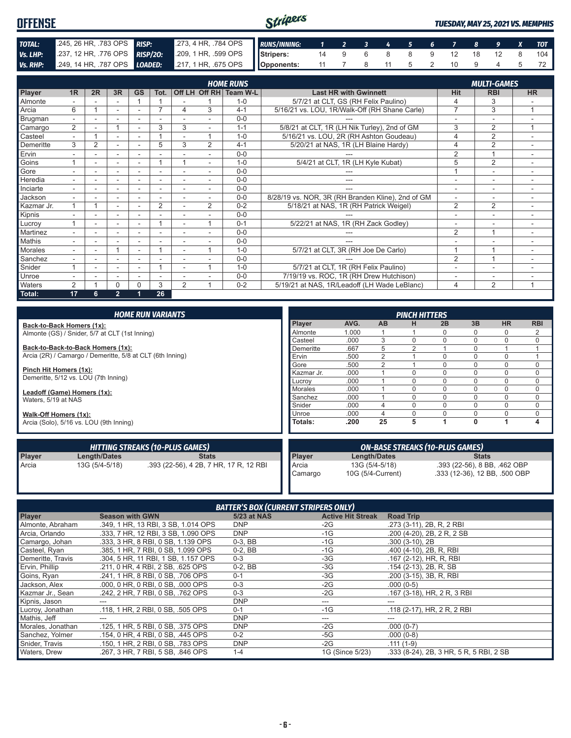| <b>OFFENSE</b> |                                                                    |                                                         | Stripers |                      |  |  |  |  | TUESDAY, MAY 25, 2021 VS. MEMPHIS |
|----------------|--------------------------------------------------------------------|---------------------------------------------------------|----------|----------------------|--|--|--|--|-----------------------------------|
| TOTAL:         | 245, 26 HR, 783 OPS RISP:                                          | 273, 4 HR, 784 OPS RUNS/INNING: 1 2 3 4 5 6 7 8 9 X TOT |          |                      |  |  |  |  |                                   |
| Vs. LHP:       | 237, 12 HR, 776 OPS RISP/20: 209, 1 HR, 599 OPS Stripers:          |                                                         |          | 14 9 6 8 8 9 12 18   |  |  |  |  | 104                               |
|                | Vs. RHP: 249, 14 HR, 787 OPS LOADED: 217, 1 HR, 675 OPS Opponents: |                                                         |          | 11 7 8 11 5 2 10 9 4 |  |  |  |  |                                   |

|                | <b>HOME RUNS</b><br>Off LH Off RH Team W-L<br>1R<br>2R<br>3R<br><b>GS</b><br>Tot. |                          |        |          |                |                          |                |         |                                                   | <b>MULTI-GAMES</b>       |                          |                |  |  |
|----------------|-----------------------------------------------------------------------------------|--------------------------|--------|----------|----------------|--------------------------|----------------|---------|---------------------------------------------------|--------------------------|--------------------------|----------------|--|--|
| <b>Player</b>  |                                                                                   |                          |        |          |                |                          |                |         | <b>Last HR with Gwinnett</b>                      | <b>Hit</b>               | <b>RBI</b>               | <b>HR</b>      |  |  |
| Almonte        |                                                                                   |                          |        |          |                |                          |                | $1 - 0$ | 5/7/21 at CLT, GS (RH Felix Paulino)              | 4                        | 3                        |                |  |  |
| Arcia          | 6                                                                                 |                          | $\sim$ | ٠        | $\overline{ }$ | 4                        | 3              | $4 - 1$ | 5/16/21 vs. LOU, 1R/Walk-Off (RH Shane Carle)     | $\overline{7}$           | 3                        | $\overline{ }$ |  |  |
| Brugman        |                                                                                   |                          |        |          |                |                          | ۰              | $0 - 0$ |                                                   |                          |                          |                |  |  |
| Camargo        | $\overline{2}$                                                                    |                          |        | ٠        | 3              | 3                        | ۰              | $1 - 1$ | 5/8/21 at CLT, 1R (LH Nik Turley), 2nd of GM      | 3                        | $\overline{2}$           | и              |  |  |
| Casteel        |                                                                                   |                          | ٠      | ۰        |                |                          |                | $1 - 0$ | 5/16/21 vs. LOU, 2R (RH Ashton Goudeau)           | 4                        | $\overline{2}$           | ۰              |  |  |
| Demeritte      | 3                                                                                 |                          | ٠      |          | 5              | 3                        | $\overline{2}$ | $4 - 1$ | 5/20/21 at NAS, 1R (LH Blaine Hardy)              | 4                        | 2                        |                |  |  |
| Ervin          |                                                                                   |                          | ۰      | ۰        |                |                          |                | $0 - 0$ |                                                   | $\overline{2}$           |                          | ۰              |  |  |
| Goins          |                                                                                   |                          |        |          |                |                          | ۰              | $1 - 0$ | 5/4/21 at CLT, 1R (LH Kyle Kubat)                 | 5                        | $\overline{2}$           | ۰              |  |  |
| Gore           |                                                                                   | $\overline{\phantom{a}}$ | ÷      | ٠        |                |                          | ۰              | $0 - 0$ | ---                                               |                          | $\sim$                   | ۰              |  |  |
| Heredia        |                                                                                   |                          | ۰.     | ۰        |                | ٠                        |                | $0 - 0$ | ---                                               | $\overline{\phantom{a}}$ | $\overline{\phantom{a}}$ | ۰              |  |  |
| Inciarte       |                                                                                   | ۰.                       | ۰      | ۰        | ۰              | $\overline{\phantom{a}}$ | ۰              | $0 - 0$ | ---                                               | $\overline{\phantom{a}}$ | ٠                        | ۰              |  |  |
| Jackson        |                                                                                   |                          | ۰      | ۰        |                |                          |                | $0 - 0$ | 8/28/19 vs. NOR, 3R (RH Branden Kline), 2nd of GM |                          |                          | ۰              |  |  |
| Kazmar Jr.     | 1                                                                                 |                          | ٠      | ۰        | $\overline{2}$ |                          | $\overline{2}$ | $0 - 2$ | 5/18/21 at NAS, 1R (RH Patrick Weigel)            | $\overline{2}$           | $\overline{2}$           |                |  |  |
| Kipnis         |                                                                                   |                          |        |          |                |                          |                | $0 - 0$ |                                                   |                          |                          |                |  |  |
| Lucrov         | $\overline{A}$                                                                    |                          | ٠      | ٠        |                |                          |                | $0 - 1$ | 5/22/21 at NAS, 1R (RH Zack Godley)               |                          |                          |                |  |  |
| Martinez       |                                                                                   |                          |        |          |                |                          |                | $0 - 0$ |                                                   | $\overline{2}$           | $\overline{\mathbf{A}}$  | ۰              |  |  |
| <b>Mathis</b>  |                                                                                   |                          | $\sim$ | ٠        |                |                          |                | $0 - 0$ |                                                   |                          |                          | ٠              |  |  |
| <b>Morales</b> |                                                                                   |                          |        |          |                |                          |                | $1 - 0$ | 5/7/21 at CLT, 3R (RH Joe De Carlo)               |                          |                          | ۰              |  |  |
| Sanchez        |                                                                                   |                          | ٠      |          |                |                          |                | $0 - 0$ |                                                   | $\overline{2}$           | $\overline{A}$           |                |  |  |
| Snider         | $\overline{ }$                                                                    |                          | ٠      | ۰        |                | ٠                        |                | $1 - 0$ | 5/7/21 at CLT, 1R (RH Felix Paulino)              |                          | ۰                        |                |  |  |
| Unroe          |                                                                                   |                          | ٠      | ۰        | ۰              |                          |                | $0 - 0$ | 7/19/19 vs. ROC, 1R (RH Drew Hutchison)           |                          | ۰                        | ۰              |  |  |
| Waters         | $\mathcal{P}$                                                                     |                          | 0      | $\Omega$ | 3              | 2                        |                | $0 - 2$ | 5/19/21 at NAS, 1R/Leadoff (LH Wade LeBlanc)      | 4                        | 2                        | и              |  |  |
| Total:         | 17                                                                                | 6                        | 2.     |          | 26             |                          |                |         |                                                   |                          |                          |                |  |  |

|                        |                                                           | <b>HOME RUN VARIANTS</b>                                      |                |       |                              | <b>PINCH HITTERS</b> |                                        |              |           |             |
|------------------------|-----------------------------------------------------------|---------------------------------------------------------------|----------------|-------|------------------------------|----------------------|----------------------------------------|--------------|-----------|-------------|
|                        | Back-to-Back Homers (1x):                                 |                                                               | <b>Player</b>  | AVG.  | <b>AB</b>                    | н                    | 2B                                     | 3B           | <b>HR</b> | <b>RBI</b>  |
|                        | Almonte (GS) / Snider, 5/7 at CLT (1st Inning)            |                                                               | Almonte        | 1.000 |                              |                      | $\Omega$                               |              | $\Omega$  | 2           |
|                        |                                                           |                                                               | Casteel        | .000  | 3                            |                      | 0                                      | $\Omega$     | 0         | 0           |
|                        | Back-to-Back-to-Back Homers (1x):                         |                                                               | Demeritte      | .667  | 5                            | 2                    |                                        | $\Omega$     |           |             |
|                        | Arcia (2R) / Camargo / Demeritte, 5/8 at CLT (6th Inning) |                                                               | Ervin          | .500  | $\overline{2}$               |                      | $\Omega$                               | $\Omega$     | 0         |             |
|                        |                                                           |                                                               | Gore           | .500  | 2                            |                      | $\Omega$                               | $\Omega$     | 0         | 0           |
| Pinch Hit Homers (1x): |                                                           |                                                               | Kazmar Jr.     | .000  |                              |                      |                                        | n            | 0         | 0           |
|                        | Demeritte, 5/12 vs. LOU (7th Inning)                      |                                                               | Lucrov         | .000  |                              | 0                    | $\Omega$                               |              | 0         | $\mathbf 0$ |
|                        | Leadoff (Game) Homers (1x):                               |                                                               | <b>Morales</b> | .000  |                              | 0                    | $\Omega$                               | $\Omega$     | $\Omega$  | $\mathbf 0$ |
| Waters, 5/19 at NAS    |                                                           |                                                               | Sanchez        | .000  |                              | 0                    | $\Omega$                               | $\Omega$     | 0         | $\mathbf 0$ |
|                        |                                                           |                                                               | Snider         | .000  | 4                            |                      | $\Omega$                               | $\Omega$     | 0         | 0           |
| Walk-Off Homers (1x):  |                                                           |                                                               | Unroe          | .000  | $\Delta$                     |                      |                                        |              | $\Omega$  | $\mathbf 0$ |
|                        | Arcia (Solo), 5/16 vs. LOU (9th Inning)                   |                                                               | Totals:        | .200  | 25                           | 5                    |                                        | 0            |           | 4           |
|                        |                                                           | <b>HITTING STREAKS (10-PLUS GAMES)</b>                        |                |       |                              |                      | <b>ON-BASE STREAKS (10-PLUS GAMES)</b> |              |           |             |
| Player                 | Length/Dates                                              | <b>Stats</b>                                                  | <b>Player</b>  |       | Length/Dates                 |                      |                                        | <b>Stats</b> |           |             |
| Arcia                  | 13G (5/4-5/18)                                            | Arcia<br>13G (5/4-5/18)                                       |                |       | .393 (22-56), 8 BB, .462 OBP |                      |                                        |              |           |             |
|                        |                                                           | 10G (5/4-Current)<br>.333 (12-36), 12 BB, .500 OBP<br>Camargo |                |       |                              |                      |                                        |              |           |             |

| <b>BATTER'S BOX (CURRENT STRIPERS ONLY)</b> |                                     |             |                          |                                         |  |  |  |  |
|---------------------------------------------|-------------------------------------|-------------|--------------------------|-----------------------------------------|--|--|--|--|
| Player                                      | <b>Season with GWN</b>              | 5/23 at NAS | <b>Active Hit Streak</b> | <b>Road Trip</b>                        |  |  |  |  |
| Almonte, Abraham                            | .349, 1 HR, 13 RBI, 3 SB, 1.014 OPS | <b>DNP</b>  | $-2G$                    | .273 (3-11), 2B, R, 2 RBI               |  |  |  |  |
| Arcia, Orlando                              | .333, 7 HR, 12 RBI, 3 SB, 1,090 OPS | <b>DNP</b>  | $-1G$                    | .200 (4-20), 2B, 2R, 2SB                |  |  |  |  |
| Camargo, Johan                              | .333, 3 HR, 8 RBI, 0 SB, 1.139 OPS  | $0-3$ , BB  | $-1G$                    | $.300(3-10)$ , 2B                       |  |  |  |  |
| Casteel, Ryan                               | .385, 1 HR, 7 RBI, 0 SB, 1,099 OPS  | $0-2$ , BB  | $-1G$                    | .400 (4-10), 2B, R, RBI                 |  |  |  |  |
| Demeritte, Travis                           | .304, 5 HR, 11 RBI, 1 SB, 1.157 OPS | $0 - 3$     | -3G                      | .167 (2-12), HR, R, RBI                 |  |  |  |  |
| Ervin, Phillip                              | .211, 0 HR, 4 RBI, 2 SB, .625 OPS   | $0-2$ , BB  | -3G                      | .154 (2-13), 2B, R, SB                  |  |  |  |  |
| Goins, Ryan                                 | .241. 1 HR. 8 RBI. 0 SB. .706 OPS   | $0 - 1$     | $-3G$                    | .200 (3-15), 3B, R, RBI                 |  |  |  |  |
| Jackson, Alex                               | .000, 0 HR, 0 RBI, 0 SB, .000 OPS   | $0 - 3$     | $-2G$                    | $.000(0-5)$                             |  |  |  |  |
| Kazmar Jr., Sean                            | .242, 2 HR, 7 RBI, 0 SB, .762 OPS   | $0 - 3$     | -2G                      | .167 (3-18), HR, 2 R, 3 RBI             |  |  |  |  |
| Kipnis, Jason                               |                                     | <b>DNP</b>  | ---                      |                                         |  |  |  |  |
| Lucroy, Jonathan                            | .118, 1 HR, 2 RBI, 0 SB, .505 OPS   | $0 - 1$     | $-1G$                    | .118 (2-17), HR, 2 R, 2 RBI             |  |  |  |  |
| Mathis, Jeff                                |                                     | <b>DNP</b>  | ---                      |                                         |  |  |  |  |
| Morales, Jonathan                           | .125, 1 HR, 5 RBI, 0 SB, .375 OPS   | <b>DNP</b>  | $-2G$                    | $.000(0-7)$                             |  |  |  |  |
| Sanchez, Yolmer                             | .154, 0 HR, 4 RBI, 0 SB, .445 OPS   | $0 - 2$     | -5G                      | $.000(0-8)$                             |  |  |  |  |
| Snider, Travis                              | .150, 1 HR, 2 RBI, 0 SB, .783 OPS   | <b>DNP</b>  | -2G                      | $.111(1-9)$                             |  |  |  |  |
| Waters, Drew                                | .267. 3 HR. 7 RBI. 5 SB. .846 OPS   | $1 - 4$     | 1G (Since 5/23)          | .333 (8-24), 2B, 3 HR, 5 R, 5 RBI, 2 SB |  |  |  |  |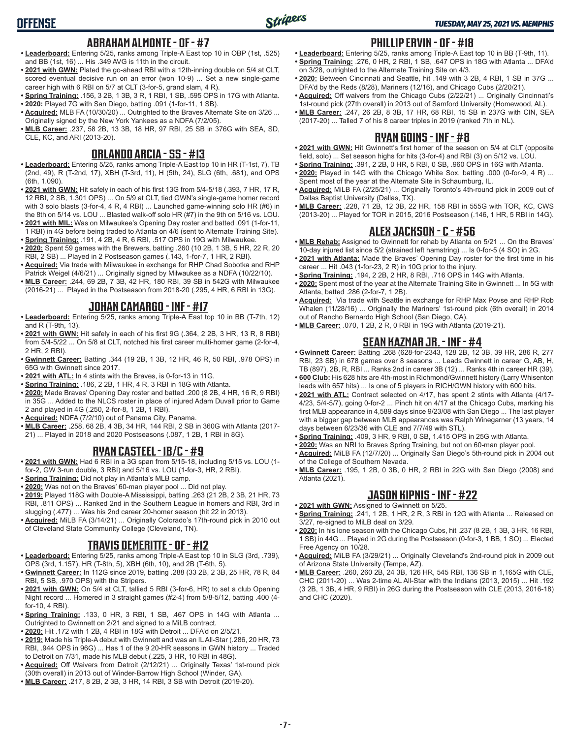- **ABRAHAM ALMONTE OF #7 • Leaderboard:** Entering 5/25, ranks among Triple-A East top 10 in OBP (1st, .525) and BB (1st, 16) ... His .349 AVG is 11th in the circuit.
- **• 2021 with GWN:** Plated the go-ahead RBI with a 12th-inning double on 5/4 at CLT, scored eventual decisive run on an error (won 10-9) ... Set a new single-game career high with 6 RBI on 5/7 at CLT (3-for-5, grand slam, 4 R).
- **• Spring Training:** .156, 3 2B, 1 3B, 3 R, 1 RBI, 1 SB, .595 OPS in 17G with Atlanta.
- **• 2020:** Played 7G with San Diego, batting .091 (1-for-11, 1 SB).
- **• Acquired:** MLB FA (10/30/20) ... Outrighted to the Braves Alternate Site on 3/26 ... Originally signed by the New York Yankees as a NDFA (7/2/05).
- **• MLB Career:** .237, 58 2B, 13 3B, 18 HR, 97 RBI, 25 SB in 376G with SEA, SD, CLE, KC, and ARI (2013-20).

## **ORLANDO ARCIA - SS - #13**

- **• Leaderboard:** Entering 5/25, ranks among Triple-A East top 10 in HR (T-1st, 7), TB (2nd, 49), R (T-2nd, 17), XBH (T-3rd, 11), H (5th, 24), SLG (6th, .681), and OPS (6th, 1.090).
- **• 2021 with GWN:** Hit safely in each of his first 13G from 5/4-5/18 (.393, 7 HR, 17 R, 12 RBI, 2 SB, 1.301 OPS) ... On 5/9 at CLT, tied GWN's single-game homer record with 3 solo blasts (3-for-4, 4 R, 4 RBI) ... Launched game-winning solo HR (#6) in the 8th on 5/14 vs. LOU ... Blasted walk-off solo HR (#7) in the 9th on 5/16 vs. LOU.
- **• 2021 with MIL:** Was on Milwaukee's Opening Day roster and batted .091 (1-for-11, 1 RBI) in 4G before being traded to Atlanta on 4/6 (sent to Alternate Training Site).
- **• Spring Training:** .191, 4 2B, 4 R, 6 RBI, .517 OPS in 19G with Milwaukee. **• 2020:** Spent 59 games with the Brewers, batting .260 (10 2B, 1 3B, 5 HR, 22 R, 20
- RBI, 2 SB) ... Played in 2 Postseason games (.143, 1-for-7, 1 HR, 2 RBI).
- **• Acquired:** Via trade with Milwaukee in exchange for RHP Chad Sobotka and RHP Patrick Weigel (4/6/21) ... Originally signed by Milwaukee as a NDFA (10/22/10).
- **• MLB Career:** .244, 69 2B, 7 3B, 42 HR, 180 RBI, 39 SB in 542G with Milwaukee (2016-21) ... Played in the Postseason from 2018-20 (.295, 4 HR, 6 RBI in 13G).

#### **JOHAN CAMARGO - INF - #17**

- **• Leaderboard:** Entering 5/25, ranks among Triple-A East top 10 in BB (T-7th, 12) and R (T-9th, 13).
- **• 2021 with GWN:** Hit safely in each of his first 9G (.364, 2 2B, 3 HR, 13 R, 8 RBI) from 5/4-5/22 ... On 5/8 at CLT, notched his first career multi-homer game (2-for-4, 2 HR, 2 RBI).
- **• Gwinnett Career:** Batting .344 (19 2B, 1 3B, 12 HR, 46 R, 50 RBI, .978 OPS) in 65G with Gwinnett since 2017.
- **• 2021 with ATL:** In 4 stints with the Braves, is 0-for-13 in 11G.
- **• Spring Training:** .186, 2 2B, 1 HR, 4 R, 3 RBI in 18G with Atlanta.
- **• 2020:** Made Braves' Opening Day roster and batted .200 (8 2B, 4 HR, 16 R, 9 RBI) in 35G ... Added to the NLCS roster in place of injured Adam Duvall prior to Game 2 and played in 4G (.250, 2-for-8, 1 2B, 1 RBI).
- **• Acquired:** NDFA (7/2/10) out of Panama City, Panama.
- **• MLB Career:** .258, 68 2B, 4 3B, 34 HR, 144 RBI, 2 SB in 360G with Atlanta (2017-
- 21) ... Played in 2018 and 2020 Postseasons (.087, 1 2B, 1 RBI in 8G).

## **RYAN CASTEEL - 1B/C - #9**

- **• 2021 with GWN:** Had 6 RBI in a 3G span from 5/15-18, including 5/15 vs. LOU (1 for-2, GW 3-run double, 3 RBI) and 5/16 vs. LOU (1-for-3, HR, 2 RBI).
- **• Spring Training:** Did not play in Atlanta's MLB camp.
- **• 2020:** Was not on the Braves' 60-man player pool ... Did not play.
- **• 2019:** Played 118G with Double-A Mississippi, batting .263 (21 2B, 2 3B, 21 HR, 73 RBI, .811 OPS) ... Ranked 2nd in the Southern League in homers and RBI, 3rd in slugging (.477) ... Was his 2nd career 20-homer season (hit 22 in 2013).
- **• Acquired:** MiLB FA (3/14/21) ... Originally Colorado's 17th-round pick in 2010 out of Cleveland State Community College (Cleveland, TN).

## **TRAVIS DEMERITTE - OF - #12**

- **• Leaderboard:** Entering 5/25, ranks among Triple-A East top 10 in SLG (3rd, .739), OPS (3rd, 1.157), HR (T-8th, 5), XBH (6th, 10), and 2B (T-6th, 5).
- **• Gwinnett Career:** In 112G since 2019, batting .288 (33 2B, 2 3B, 25 HR, 78 R, 84 RBI, 5 SB, .970 OPS) with the Stripers.
- **• 2021 with GWN:** On 5/4 at CLT, tallied 5 RBI (3-for-6, HR) to set a club Opening Night record ... Homered in 3 straight games (#2-4) from 5/8-5/12, batting .400 (4 for-10, 4 RBI).
- **• Spring Training:** .133, 0 HR, 3 RBI, 1 SB, .467 OPS in 14G with Atlanta ... Outrighted to Gwinnett on 2/21 and signed to a MiLB contract.
- **• 2020:** Hit .172 with 1 2B, 4 RBI in 18G with Detroit ... DFA'd on 2/5/21.
- **• 2019:** Made his Triple-A debut with Gwinnett and was an IL All-Star (.286, 20 HR, 73 RBI, .944 OPS in 96G) ... Has 1 of the 9 20-HR seasons in GWN history ... Traded to Detroit on 7/31, made his MLB debut (.225, 3 HR, 10 RBI in 48G).
- **• Acquired:** Off Waivers from Detroit (2/12/21) ... Originally Texas' 1st-round pick (30th overall) in 2013 out of Winder-Barrow High School (Winder, GA).
- **• MLB Career:** .217, 8 2B, 2 3B, 3 HR, 14 RBI, 3 SB with Detroit (2019-20).

#### **PHILLIP ERVIN - OF - #18**

- **• Leaderboard:** Entering 5/25, ranks among Triple-A East top 10 in BB (T-9th, 11). **• Spring Training:** .276, 0 HR, 2 RBI, 1 SB, .647 OPS in 18G with Atlanta ... DFA'd on 3/28, outrighted to the Alternate Training Site on 4/3.
- **• 2020:** Between Cincinnati and Seattle, hit .149 with 3 2B, 4 RBI, 1 SB in 37G ... DFA'd by the Reds (8/28), Mariners (12/16), and Chicago Cubs (2/20/21).
- **• Acquired:** Off waivers from the Chicago Cubs (2/22/21) ... Originally Cincinnati's 1st-round pick (27th overall) in 2013 out of Samford University (Homewood, AL).
- **• MLB Career:** .247, 26 2B, 8 3B, 17 HR, 68 RBI, 15 SB in 237G with CIN, SEA (2017-20) ... Talled 7 of his 8 career triples in 2019 (ranked 7th in NL).

#### **RYAN GOINS - INF - #8**

- **• 2021 with GWN:** Hit Gwinnett's first homer of the season on 5/4 at CLT (opposite field, solo) ... Set season highs for hits (3-for-4) and RBI (3) on 5/12 vs. LOU.
- **• Spring Training:** .391, 2 2B, 0 HR, 5 RBI, 0 SB, .960 OPS in 16G with Atlanta.
- **• 2020:** Played in 14G with the Chicago White Sox, batting .000 (0-for-9, 4 R) ... Spent most of the year at the Alternate Site in Schaumburg, IL.
- **• Acquired:** MiLB FA (2/25/21) ... Originally Toronto's 4th-round pick in 2009 out of Dallas Baptist University (Dallas, TX).
- **• MLB Career:** .228, 71 2B, 12 3B, 22 HR, 158 RBI in 555G with TOR, KC, CWS (2013-20) ... Played for TOR in 2015, 2016 Postseason (.146, 1 HR, 5 RBI in 14G).

#### **ALEX JACKSON - C - #56**

- **• MLB Rehab:** Assigned to Gwinnett for rehab by Atlanta on 5/21 ... On the Braves' 10-day injured list since 5/2 (strained left hamstring) ... Is 0-for-5 (4 SO) in 2G.
- **• 2021 with Atlanta:** Made the Braves' Opening Day roster for the first time in his career ... Hit .043 (1-for-23, 2 R) in 10G prior to the injury.
- **• Spring Training:** .194, 2 2B, 2 HR, 8 RBI, .716 OPS in 14G with Atlanta.
- **• 2020:** Spent most of the year at the Alternate Training Site in Gwinnett ... In 5G with Atlanta, batted .286 (2-for-7, 1 2B).
- **• Acquired:** Via trade with Seattle in exchange for RHP Max Povse and RHP Rob Whalen (11/28/16) ... Originally the Mariners' 1st-round pick (6th overall) in 2014 out of Rancho Bernardo High School (San Diego, CA).
- **• MLB Career:** .070, 1 2B, 2 R, 0 RBI in 19G with Atlanta (2019-21).

## **SEAN KAZMAR JR. - INF - #4**

**• Gwinnett Career:** Batting .268 (628-for-2343, 128 2B, 12 3B, 39 HR, 286 R, 277 RBI, 23 SB) in 678 games over 8 seasons ... Leads Gwinnett in career G, AB, H, TB (897), 2B, R, RBI ... Ranks 2nd in career 3B (12) ... Ranks 4th in career HR (39).

- **• 600 Club:** His 628 hits are 4th-most in Richmond/Gwinnett history (Larry Whisenton leads with 657 hits) ... Is one of 5 players in RICH/GWN history with 600 hits.
- **• 2021 with ATL:** Contract selected on 4/17, has spent 2 stints with Atlanta (4/17- 4/23, 5/4-5/7), going 0-for-2 ... Pinch hit on 4/17 at the Chicago Cubs, marking his first MLB appearance in 4,589 days since 9/23/08 with San Diego ... The last player with a bigger gap between MLB appearances was Ralph Winegarner (13 years, 14 days between 6/23/36 with CLE and 7/7/49 with STL).
- **• Spring Training:** .409, 3 HR, 9 RBI, 0 SB, 1.415 OPS in 25G with Atlanta.
- **• 2020:** Was an NRI to Braves Spring Training, but not on 60-man player pool.
- **• Acquired:** MiLB FA (12/7/20) ... Originally San Diego's 5th-round pick in 2004 out of the College of Southern Nevada.
- **• MLB Career:** .195, 1 2B, 0 3B, 0 HR, 2 RBI in 22G with San Diego (2008) and Atlanta (2021).

#### **JASON KIPNIS - INF - #22**

- **• 2021 with GWN:** Assigned to Gwinnett on 5/25. **• Spring Training:** .241, 1 2B, 1 HR, 2 R, 3 RBI in 12G with Atlanta ... Released on 3/27, re-signed to MiLB deal on 3/29.
- **• 2020:** In his lone season with the Chicago Cubs, hit .237 (8 2B, 1 3B, 3 HR, 16 RBI, 1 SB) in 44G ... Played in 2G during the Postseason (0-for-3, 1 BB, 1 SO) ... Elected Free Agency on 10/28.
- **• Acquired:** MiLB FA (3/29/21) ... Originally Cleveland's 2nd-round pick in 2009 out of Arizona State University (Tempe, AZ).
- **• MLB Career:** .260, 260 2B, 24 3B, 126 HR, 545 RBI, 136 SB in 1,165G with CLE, CHC (2011-20) ... Was 2-time AL All-Star with the Indians (2013, 2015) ... Hit .192 (3 2B, 1 3B, 4 HR, 9 RBI) in 26G during the Postseason with CLE (2013, 2016-18) and CHC (2020).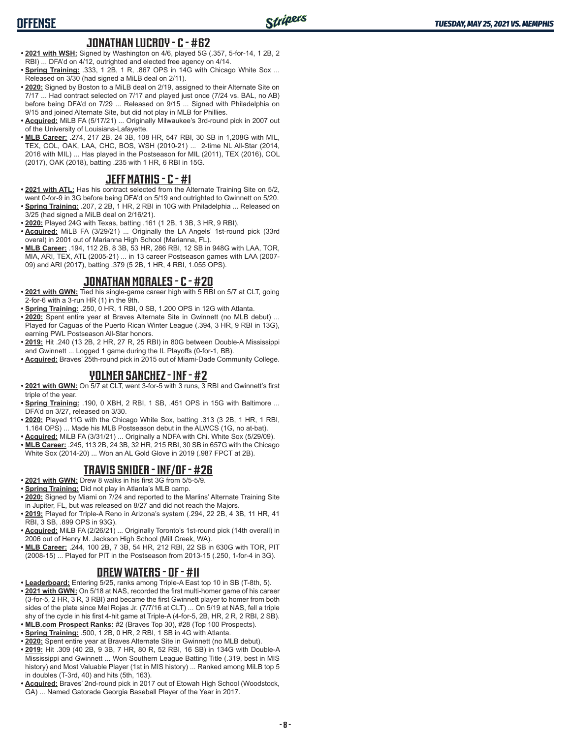#### **JONATHAN LUCROY - C - #62**

- **• 2021 with WSH:** Signed by Washington on 4/6, played 5G (.357, 5-for-14, 1 2B, 2 RBI) ... DFA'd on 4/12, outrighted and elected free agency on 4/14.
- **• Spring Training:** .333, 1 2B, 1 R, .867 OPS in 14G with Chicago White Sox ... Released on 3/30 (had signed a MiLB deal on 2/11).
- **• 2020:** Signed by Boston to a MiLB deal on 2/19, assigned to their Alternate Site on 7/17 ... Had contract selected on 7/17 and played just once (7/24 vs. BAL, no AB) before being DFA'd on 7/29 ... Released on 9/15 ... Signed with Philadelphia on 9/15 and joined Alternate Site, but did not play in MLB for Phillies.
- **• Acquired:** MiLB FA (5/17/21) ... Originally Milwaukee's 3rd-round pick in 2007 out of the University of Louisiana-Lafayette.
- **• MLB Career:** .274, 217 2B, 24 3B, 108 HR, 547 RBI, 30 SB in 1,208G with MIL, TEX, COL, OAK, LAA, CHC, BOS, WSH (2010-21) ... 2-time NL All-Star (2014, 2016 with MIL) ... Has played in the Postseason for MIL (2011), TEX (2016), COL (2017), OAK (2018), batting .235 with 1 HR, 6 RBI in 15G.

#### **JEFF MATHIS - C - #1**

- **• 2021 with ATL:** Has his contract selected from the Alternate Training Site on 5/2, went 0-for-9 in 3G before being DFA'd on 5/19 and outrighted to Gwinnett on 5/20.
- **• Spring Training:** .207, 2 2B, 1 HR, 2 RBI in 10G with Philadelphia ... Released on 3/25 (had signed a MiLB deal on 2/16/21).
- **• 2020:** Played 24G with Texas, batting .161 (1 2B, 1 3B, 3 HR, 9 RBI).
- **• Acquired:** MiLB FA (3/29/21) ... Originally the LA Angels' 1st-round pick (33rd overal) in 2001 out of Marianna High School (Marianna, FL).
- **• MLB Career:** .194, 112 2B, 8 3B, 53 HR, 286 RBI, 12 SB in 948G with LAA, TOR, MIA, ARI, TEX, ATL (2005-21) ... in 13 career Postseason games with LAA (2007- 09) and ARI (2017), batting .379 (5 2B, 1 HR, 4 RBI, 1.055 OPS).

#### **JONATHAN MORALES - C - #20**

- **• 2021 with GWN:** Tied his single-game career high with 5 RBI on 5/7 at CLT, going 2-for-6 with a 3-run HR (1) in the 9th.
- **• Spring Training:** .250, 0 HR, 1 RBI, 0 SB, 1.200 OPS in 12G with Atlanta.
- **• 2020:** Spent entire year at Braves Alternate Site in Gwinnett (no MLB debut) ... Played for Caguas of the Puerto Rican Winter League (.394, 3 HR, 9 RBI in 13G), earning PWL Postseason All-Star honors.
- **• 2019:** Hit .240 (13 2B, 2 HR, 27 R, 25 RBI) in 80G between Double-A Mississippi and Gwinnett ... Logged 1 game during the IL Playoffs (0-for-1, BB).
- **• Acquired:** Braves' 25th-round pick in 2015 out of Miami-Dade Community College.

#### **YOLMER SANCHEZ - INF - #2**

- **• 2021 with GWN:** On 5/7 at CLT, went 3-for-5 with 3 runs, 3 RBI and Gwinnett's first triple of the year.
- **• Spring Training:** .190, 0 XBH, 2 RBI, 1 SB, .451 OPS in 15G with Baltimore ... DFA'd on 3/27, released on 3/30.
- **• 2020:** Played 11G with the Chicago White Sox, batting .313 (3 2B, 1 HR, 1 RBI, 1.164 OPS) ... Made his MLB Postseason debut in the ALWCS (1G, no at-bat).
- **• Acquired:** MiLB FA (3/31/21) ... Originally a NDFA with Chi. White Sox (5/29/09).
- **• MLB Career:** .245, 113 2B, 24 3B, 32 HR, 215 RBI, 30 SB in 657G with the Chicago White Sox (2014-20) ... Won an AL Gold Glove in 2019 (.987 FPCT at 2B).

#### **TRAVIS SNIDER - INF/OF - #26**

- **• 2021 with GWN:** Drew 8 walks in his first 3G from 5/5-5/9.
- **• Spring Training:** Did not play in Atlanta's MLB camp.
- **• 2020:** Signed by Miami on 7/24 and reported to the Marlins' Alternate Training Site in Jupiter, FL, but was released on 8/27 and did not reach the Majors.
- **• 2019:** Played for Triple-A Reno in Arizona's system (.294, 22 2B, 4 3B, 11 HR, 41 RBI, 3 SB, .899 OPS in 93G).
- **• Acquired:** MiLB FA (2/26/21) ... Originally Toronto's 1st-round pick (14th overall) in 2006 out of Henry M. Jackson High School (Mill Creek, WA).
- **• MLB Career:** .244, 100 2B, 7 3B, 54 HR, 212 RBI, 22 SB in 630G with TOR, PIT (2008-15) ... Played for PIT in the Postseason from 2013-15 (.250, 1-for-4 in 3G).

## **DREW WATERS - OF - #11**

- **• Leaderboard:** Entering 5/25, ranks among Triple-A East top 10 in SB (T-8th, 5). **• 2021 with GWN:** On 5/18 at NAS, recorded the first multi-homer game of his career (3-for-5, 2 HR, 3 R, 3 RBI) and became the first Gwinnett player to homer from both sides of the plate since Mel Rojas Jr. (7/7/16 at CLT) ... On 5/19 at NAS, fell a triple shy of the cycle in his first 4-hit game at Triple-A (4-for-5, 2B, HR, 2 R, 2 RBI, 2 SB).
- **• MLB.com Prospect Ranks:** #2 (Braves Top 30), #28 (Top 100 Prospects).
- **• Spring Training:** .500, 1 2B, 0 HR, 2 RBI, 1 SB in 4G with Atlanta.
- **• 2020:** Spent entire year at Braves Alternate Site in Gwinnett (no MLB debut).
- **• 2019:** Hit .309 (40 2B, 9 3B, 7 HR, 80 R, 52 RBI, 16 SB) in 134G with Double-A Mississippi and Gwinnett ... Won Southern League Batting Title (.319, best in MIS history) and Most Valuable Player (1st in MIS history) ... Ranked among MiLB top 5 in doubles (T-3rd, 40) and hits (5th, 163).
- **• Acquired:** Braves' 2nd-round pick in 2017 out of Etowah High School (Woodstock, GA) ... Named Gatorade Georgia Baseball Player of the Year in 2017.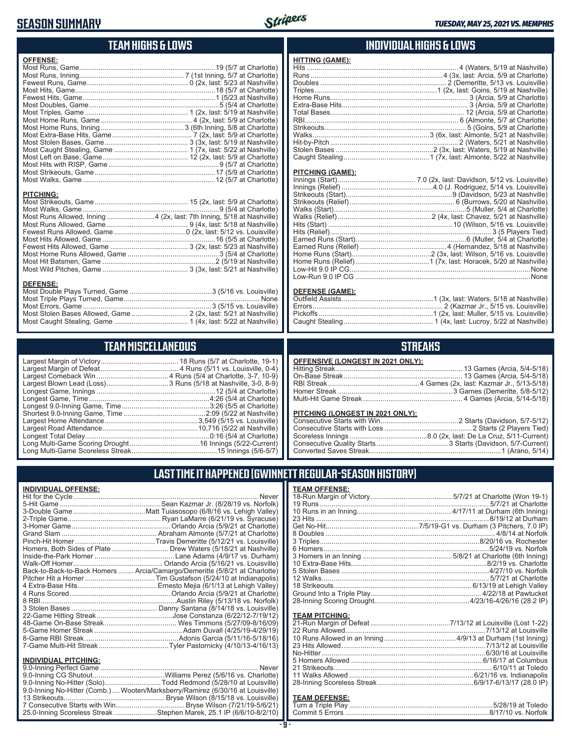## **SEASON SUMMARY**



#### **TEAM HIGHS & LOWS**

| <b>OFFENSE:</b>                                                       |  |
|-----------------------------------------------------------------------|--|
|                                                                       |  |
|                                                                       |  |
|                                                                       |  |
|                                                                       |  |
|                                                                       |  |
|                                                                       |  |
|                                                                       |  |
|                                                                       |  |
|                                                                       |  |
|                                                                       |  |
|                                                                       |  |
|                                                                       |  |
|                                                                       |  |
|                                                                       |  |
|                                                                       |  |
|                                                                       |  |
|                                                                       |  |
| <b>PITCHING:</b>                                                      |  |
|                                                                       |  |
|                                                                       |  |
| Most Runs Allowed, Inning 4 (2x, last: 7th Inning, 5/18 at Nashville) |  |
|                                                                       |  |
|                                                                       |  |
|                                                                       |  |
|                                                                       |  |
|                                                                       |  |
|                                                                       |  |
|                                                                       |  |
| <b>DEFENSE:</b>                                                       |  |
|                                                                       |  |

Most Triple Plays Turned, Game ...................................................................... None Most Errors, Game ..................................................................3 (5/15 vs. Louisville) Most Stolen Bases Allowed, Game ............................. 2 (2x, last: 5/21 at Nashville) Most Caught Stealing, Game ...................................... 1 (4x, last: 5/22 at Nashville)

**TEAM MISCELLANEOUS** Largest Margin of Victory........................................ 18 Runs (5/7 at Charlotte, 19-1) Largest Margin of Defeat ........................................ 4 Runs (5/11 vs. Louisville, 0-4) Largest Comeback Win .....................................4 Runs (5/4 at Charlotte, 3-7, 10-9) Largest Blown Lead (Loss) ................................3 Runs (5/18 at Nashville, 3-0, 8-9) Longest Game, Innings .............................................................12 (5/4 at Charlotte) Longest Game, Time ..............................................................4:26 (5/4 at Charlotte) Longest 9.0-Inning Game, Time .............................................3:26 (5/5 at Charlotte) Shortest 9.0-Inning Game, Time ..........................................2:09 (5/22 at Nashville) Largest Home Attendance ................................................3,549 (5/15 vs. Louisville) Largest Road Attendance .................................................10,716 (5/22 at Nashville) Longest Total Delay................................................................0:16 (5/4 at Charlotte) Long Multi-Game Scoring Drought ....................................16 Innings (5/22-Current) Long Multi-Game Scoreless Streak ............................................15 Innings (5/6-5/7)

#### **INDIVIDUAL HIGHS & LOWS**

| <b>HITTING (GAME):</b> |  |
|------------------------|--|
|                        |  |
|                        |  |
|                        |  |
|                        |  |
|                        |  |
|                        |  |
|                        |  |
|                        |  |
|                        |  |
|                        |  |
|                        |  |
|                        |  |
|                        |  |

#### **PITCHING (GAME):**

#### **DEFENSE (GAME):**

#### **STREAKS**

| <b>OFFENSIVE (LONGEST IN 2021 ONLY):</b> |  |
|------------------------------------------|--|
|                                          |  |
|                                          |  |
|                                          |  |
|                                          |  |
|                                          |  |
|                                          |  |

#### **PITCHING (LONGEST IN 2021 ONLY):**

#### **LAST TIME IT HAPPENED (GWINNETT REGULAR-SEASON HISTORY)**

| <b>INDIVIDUAL OFFENSE:</b>  |                                                                                 | <b>TEA</b>      |
|-----------------------------|---------------------------------------------------------------------------------|-----------------|
|                             | Never                                                                           | $18-F$          |
|                             |                                                                                 | 19 F            |
|                             |                                                                                 | 10F             |
|                             |                                                                                 | 23F             |
|                             |                                                                                 | Get             |
|                             |                                                                                 | 8 Do            |
|                             |                                                                                 | 3 Tr            |
|                             |                                                                                 | 6 Ho            |
|                             |                                                                                 | 3H <sub>0</sub> |
|                             |                                                                                 | 10 E            |
|                             | Back-to-Back-to-Back Homers  Arcia/Camargo/Demeritte (5/8/21 at Charlotte)      | 5 St            |
|                             |                                                                                 | 12 <sub>V</sub> |
|                             |                                                                                 | 18 <sup>5</sup> |
|                             |                                                                                 | Gro             |
|                             |                                                                                 | $28-I$          |
|                             |                                                                                 |                 |
|                             |                                                                                 | <b>TEA</b>      |
|                             |                                                                                 | $21-F$          |
|                             |                                                                                 | 22 F            |
|                             |                                                                                 | 10F             |
|                             |                                                                                 | 23F<br>No-l     |
| <b>INDIVIDUAL PITCHING:</b> |                                                                                 | 5H <sub>0</sub> |
|                             | Never                                                                           | 21S             |
|                             |                                                                                 | 11 <sub>V</sub> |
|                             | 9.0-Inning No-Hitter (Solo)Todd Redmond (5/28/10 at Louisville)                 | $28-I$          |
|                             | 9.0-Inning No-Hitter (Comb.)  Wooten/Marksberry/Ramirez (6/30/16 at Louisville) |                 |
|                             |                                                                                 | <b>TEA</b>      |
|                             |                                                                                 |                 |

25.0-Inning Scoreless Streak ......................Stephen Marek, 25.1 IP (6/6/10-8/2/10)

| <b>TEAM OFFENSE:</b>  |  |
|-----------------------|--|
|                       |  |
|                       |  |
|                       |  |
|                       |  |
|                       |  |
|                       |  |
|                       |  |
|                       |  |
|                       |  |
|                       |  |
|                       |  |
|                       |  |
|                       |  |
|                       |  |
|                       |  |
|                       |  |
| <b>TEAM PITCHING:</b> |  |

#### <u>M DEFENSE:</u>